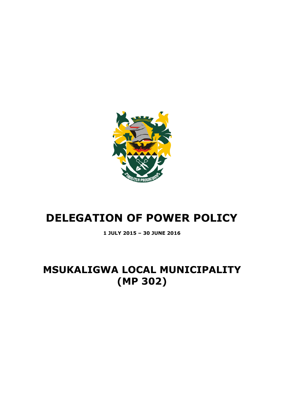

# **DELEGATION OF POWER POLICY**

**1 JULY 2015 – 30 JUNE 2016**

# **MSUKALIGWA LOCAL MUNICIPALITY (MP 302)**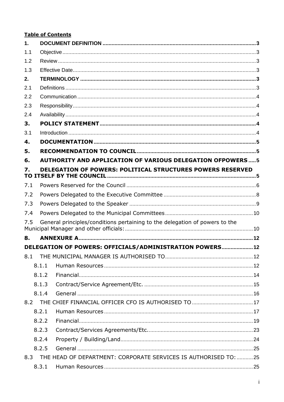# **Table of Contents**

| 1.  |       |                                                                             |  |  |  |  |  |  |
|-----|-------|-----------------------------------------------------------------------------|--|--|--|--|--|--|
| 1.1 |       |                                                                             |  |  |  |  |  |  |
| 1.2 |       |                                                                             |  |  |  |  |  |  |
| 1.3 |       |                                                                             |  |  |  |  |  |  |
| 2.  |       |                                                                             |  |  |  |  |  |  |
| 2.1 |       |                                                                             |  |  |  |  |  |  |
| 2.2 |       |                                                                             |  |  |  |  |  |  |
| 2.3 |       |                                                                             |  |  |  |  |  |  |
| 2.4 |       |                                                                             |  |  |  |  |  |  |
| 3.  |       |                                                                             |  |  |  |  |  |  |
| 3.1 |       |                                                                             |  |  |  |  |  |  |
| 4.  |       |                                                                             |  |  |  |  |  |  |
| 5.  |       |                                                                             |  |  |  |  |  |  |
| 6.  |       | <b>AUTHORITY AND APPLICATION OF VARIOUS DELEGATION OFPOWERS5</b>            |  |  |  |  |  |  |
| 7.  |       | DELEGATION OF POWERS: POLITICAL STRUCTURES POWERS RESERVED                  |  |  |  |  |  |  |
| 7.1 |       |                                                                             |  |  |  |  |  |  |
| 7.2 |       |                                                                             |  |  |  |  |  |  |
| 7.3 |       |                                                                             |  |  |  |  |  |  |
| 7.4 |       |                                                                             |  |  |  |  |  |  |
| 7.5 |       | General principles/conditions pertaining to the delegation of powers to the |  |  |  |  |  |  |
| 8.  |       |                                                                             |  |  |  |  |  |  |
|     |       | DELEGATION OF POWERS: OFFICIALS/ADMINISTRATION POWERS 12                    |  |  |  |  |  |  |
|     |       |                                                                             |  |  |  |  |  |  |
|     | 8.1.1 |                                                                             |  |  |  |  |  |  |
|     | 8.1.2 |                                                                             |  |  |  |  |  |  |
|     | 8.1.3 |                                                                             |  |  |  |  |  |  |
|     | 8.1.4 |                                                                             |  |  |  |  |  |  |
| 8.2 |       |                                                                             |  |  |  |  |  |  |
|     | 8.2.1 |                                                                             |  |  |  |  |  |  |
|     | 8.2.2 |                                                                             |  |  |  |  |  |  |
|     | 8.2.3 |                                                                             |  |  |  |  |  |  |
|     | 8.2.4 |                                                                             |  |  |  |  |  |  |
|     | 8.2.5 |                                                                             |  |  |  |  |  |  |
| 8.3 |       | THE HEAD OF DEPARTMENT: CORPORATE SERVICES IS AUTHORISED TO: 25             |  |  |  |  |  |  |
|     | 8.3.1 |                                                                             |  |  |  |  |  |  |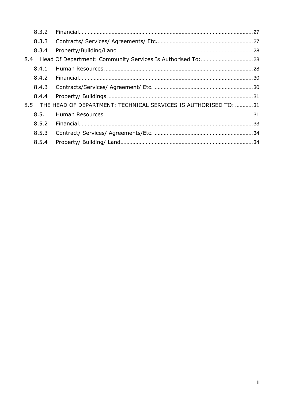|     | 8.3.2 |                                                                 |  |
|-----|-------|-----------------------------------------------------------------|--|
|     | 8.3.3 |                                                                 |  |
|     | 8.3.4 |                                                                 |  |
| 8.4 |       |                                                                 |  |
|     | 8.4.1 |                                                                 |  |
|     | 8.4.2 |                                                                 |  |
|     | 8.4.3 |                                                                 |  |
|     | 8.4.4 |                                                                 |  |
| 8.5 |       | THE HEAD OF DEPARTMENT: TECHNICAL SERVICES IS AUTHORISED TO: 31 |  |
|     | 8.5.1 |                                                                 |  |
|     | 8.5.2 |                                                                 |  |
|     | 8.5.3 |                                                                 |  |
|     | 8.5.4 |                                                                 |  |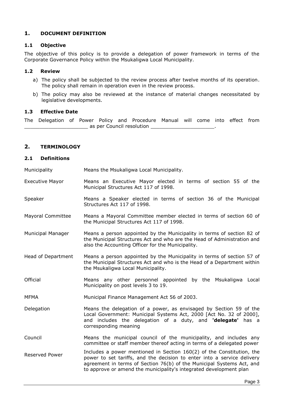# <span id="page-3-0"></span>**1. DOCUMENT DEFINITION**

#### <span id="page-3-1"></span>**1.1 Objective**

The objective of this policy is to provide a delegation of power framework in terms of the Corporate Governance Policy within the Msukaligwa Local Municipality.

#### <span id="page-3-2"></span>**1.2 Review**

- a) The policy shall be subjected to the review process after twelve months of its operation. The policy shall remain in operation even in the review process.
- b) The policy may also be reviewed at the instance of material changes necessitated by legislative developments.

#### <span id="page-3-3"></span>**1.3 Effective Date**

The Delegation of Power Policy and Procedure Manual will come into effect from \_\_\_\_\_\_\_\_\_\_\_\_\_\_\_\_\_\_\_\_\_ as per Council resolution \_\_\_\_\_\_\_\_\_\_\_\_\_\_\_\_\_\_\_\_\_.

# <span id="page-3-4"></span>**2. TERMINOLOGY**

#### <span id="page-3-5"></span>**2.1 Definitions**

Municipality Means the Msukaligwa Local Municipality.

- Executive Mayor Means an Executive Mayor elected in terms of section 55 of the Municipal Structures Act 117 of 1998.
- Speaker Means a Speaker elected in terms of section 36 of the Municipal Structures Act 117 of 1998.
- Mayoral Committee Means a Mayoral Committee member elected in terms of section 60 of the Municipal Structures Act 117 of 1998.
- Municipal Manager Means a person appointed by the Municipality in terms of section 82 of the Municipal Structures Act and who are the Head of Administration and also the Accounting Officer for the Municipality.
- Head of Department Means a person appointed by the Municipality in terms of section 57 of the Municipal Structures Act and who is the Head of a Department within the Msukaligwa Local Municipality.
- Official Means any other personnel appointed by the Msukaligwa Local Municipality on post levels 3 to 19.
- MFMA Municipal Finance Management Act 56 of 2003.
- Delegation Means the delegation of a power, as envisaged by Section 59 of the Local Government: Municipal Systems Act, 2000 [Act No. 32 of 2000], and includes the delegation of a duty, and **'delegate'** has a corresponding meaning
- Council Means the municipal council of the municipality, and includes any committee or staff member thereof acting in terms of a delegated power
- Reserved Power **Includes a power mentioned in Section 160(2)** of the Constitution, the power to set tariffs, and the decision to enter into a service delivery agreement in terms of Section 76(b) of the Municipal Systems Act, and to approve or amend the municipality's integrated development plan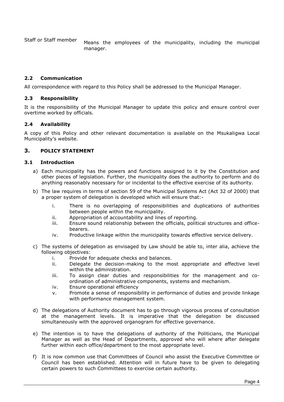Staff or Staff member Means the employees of the municipality, including the municipal manager.

#### <span id="page-4-0"></span>**2.2 Communication**

All correspondence with regard to this Policy shall be addressed to the Municipal Manager.

#### <span id="page-4-1"></span>**2.3 Responsibility**

It is the responsibility of the Municipal Manager to update this policy and ensure control over overtime worked by officials.

#### <span id="page-4-2"></span>**2.4 Availability**

A copy of this Policy and other relevant documentation is available on the Msukaligwa Local Municipality's website.

# <span id="page-4-3"></span>**3. POLICY STATEMENT**

#### <span id="page-4-4"></span>**3.1 Introduction**

- a) Each municipality has the powers and functions assigned to it by the Constitution and other pieces of legislation. Further, the municipality does the authority to perform and do anything reasonably necessary for or incidental to the effective exercise of its authority.
- b) The law requires in terms of section 59 of the Municipal Systems Act (Act 32 of 2000) that a proper system of delegation is developed which will ensure that:
	- i. There is no overlapping of responsibilities and duplications of authorities between people within the municipality.
	- ii. Appropriation of accountability and lines of reporting.
	- iii. Ensure sound relationship between the officials, political structures and officebearers.
	- iv. Productive linkage within the municipality towards effective service delivery.
- c) The systems of delegation as envisaged by Law should be able to, inter alia, achieve the following objectives:
	- i. Provide for adequate checks and balances.
	- ii. Delegate the decision-making to the most appropriate and effective level within the administration.
	- iii. To assign clear duties and responsibilities for the management and coordination of administrative components, systems and mechanism.
	- iv. Ensure operational efficiency
	- v. Promote a sense of responsibility in performance of duties and provide linkage with performance management system.
- d) The delegations of Authority document has to go through vigorous process of consultation at the management levels. It is imperative that the delegation be discussed simultaneously with the approved organogram for effective governance.
- e) The intention is to have the delegations of authority of the Politicians, the Municipal Manager as well as the Head of Departments, approved who will where after delegate further within each office/department to the most appropriate level.
- f) It is now common use that Committees of Council who assist the Executive Committee or Council has been established. Attention will in future have to be given to delegating certain powers to such Committees to exercise certain authority.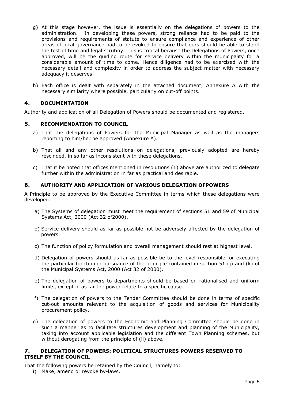- g) At this stage however, the issue is essentially on the delegations of powers to the administration. In developing these powers, strong reliance had to be paid to the provisions and requirements of statute to ensure compliance and experience of other areas of local governance had to be evoked to ensure that ours should be able to stand the test of time and legal scrutiny. This is critical because the Delegations of Powers, once approved, will be the guiding route for service delivery within the municipality for a considerable amount of time to come. Hence diligence had to be exercised with the necessary detail and complexity in order to address the subject matter with necessary adequacy it deserves.
- h) Each office is dealt with separately in the attached document, Annexure A with the necessary similarity where possible, particularly on cut-off points.

# <span id="page-5-0"></span>**4. DOCUMENTATION**

<span id="page-5-1"></span>Authority and application of all Delegation of Powers should be documented and registered.

# **5. RECOMMENDATION TO COUNCIL**

- a) That the delegations of Powers for the Municipal Manager as well as the managers reporting to him/her be approved (Annexure A).
- b) That all and any other resolutions on delegations, previously adopted are hereby rescinded, in so far as inconsistent with these delegations.
- c) That it be noted that offices mentioned in resolutions (1) above are authorized to delegate further within the administration in far as practical and desirable.

#### <span id="page-5-2"></span>**6. AUTHORITY AND APPLICATION OF VARIOUS DELEGATION OFPOWERS**

A Principle to be approved by the Executive Committee in terms which these delegations were developed:

- a) The Systems of delegation must meet the requirement of sections 51 and 59 of Municipal Systems Act, 2000 (Act 32 of2000).
- b) Service delivery should as far as possible not be adversely affected by the delegation of powers.
- c) The function of policy formulation and overall management should rest at highest level.
- d) Delegation of powers should as far as possible be to the level responsible for executing the particular function in pursuance of the principle contained in section 51 (j) and (k) of the Municipal Systems Act, 2000 (Act 32 of 2000).
- e) The delegation of powers to departments should be based on rationalised and uniform limits, except in as far the power relate to a specific cause.
- f) The delegation of powers to the Tender Committee should be done in terms of specific cut-out amounts relevant to the acquisition of goods and services for Municipality procurement policy.
- g) The delegation of powers to the Economic and Planning Committee should be done in such a manner as to facilitate structures development and planning of the Municipality, taking into account applicable legislation and the different Town Planning schemes, but without derogating from the principle of (ii) above.

#### <span id="page-5-3"></span>**7. DELEGATION OF POWERS: POLITICAL STRUCTURES POWERS RESERVED TO ITSELF BY THE COUNCIL**

That the following powers be retained by the Council, namely to:

i) Make, amend or revoke by-laws.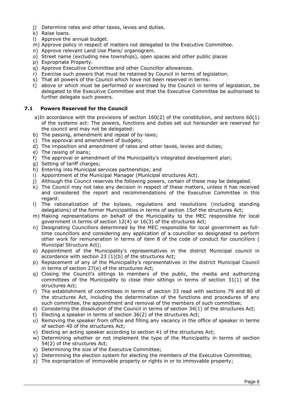- j) Determine rates and other taxes, levies and duties.
- k) Raise loans.
- l) Approve the annual budget.
- m) Approve policy in respect of matters not delegated to the Executive Committee.
- n) Approve relevant Land Use Plans/ organogram.
- o) Street name (excluding new townships), open spaces and other public places
- p) Expropriate Property.
- q) Approve Executive Committee and other Councillor allowances.
- r) Exercise such powers that must be retained by Council in terms of legislation.
- s) That all powers of the Council which have not been reserved in terms:
- t) above or which must be performed or exercised by the Council in terms of legislation, be delegated to the Executive Committee and that the Executive Committee be authorised to further delegate such powers.

# <span id="page-6-0"></span>**7.1 Powers Reserved for the Council**

- a)In accordance with the provisions of section 160(2) of the constitution, and sections 60(1) of the systems act: The powers, functions and duties set out hereunder are reserved for the council and may not be delegated:
- b) The passing, amendment and repeal of by-laws;
- c) The approval and amendment of budgets;
- d) The imposition and amendment of rates and other taxes, levies and duties;
- e) The raising of loans;
- f) The approval or amendment of the Municipality's integrated development plan;
- g) Setting of tariff charges;
- h) Entering into Municipal services partnerships; and
- i) Appointment of the Municipal Manager (Municipal structures Act).
- j) Although the Council reserves the following powers, certain of these may be delegated.
- k) The Council may not take any decision in respect of these matters, unless it has received and considered the report and recommendations of the Executive Committee in this regard:
- l) The rationalization of the bylaws, regulations and resolutions (including standing delegations) of the former Municipalities in terms of section 15of the structures Act;
- m) Making representations on behalf of the Municipality to the MEC responsible for local government in terms of section 12(4) or 16(3) of the structures Act;
- n) Designating Councillors determined by the MEC responsible for local government as fulltime councillors and considering any application of a councillor so designated to perform other work for remuneration in terms of item 8 of the code of conduct for councillors ( Municipal Structure Act);
- o) Appointment of the Municipality's representatives in the district Municipal council in accordance with section 23 (1)(b) of the structures Act;
- p) Replacement of any of the Municipality's representatives in the district Municipal Council in terms of section 27(e) of the structures Act;
- q) Closing the Council's sittings to members of the public, the media and authorizing committees of the Municipality to close their sittings in terms of section 31(1) of the structures Act;
- r) The establishment of committees in terms of section 33 read with sections 79 and 80 of the structures Act, including the determination of the functions and procedures of any such committee, the appointment and removal of the members of such committee;
- s) Considering the dissolution of the Council in terms of section 34(1) of the structures Act;
- t) Electing a speaker in terms of section 36(2) of the structures Act;
- u) Removing the speaker from office and filling any vacancy in the office of speaker in terms of section 40 of the structures Act;
- v) Electing an acting speaker according to section 41 of the structures Act;
- w) Determining whether or not implement the type of the Municipality in terms of section 54(2) of the structures Act;
- x) Determining the size of the Executive Committee;
- y) Determining the election system for electing the members of the Executive Committee;
- z) The expropriation of immovable property or rights in or to immovable property;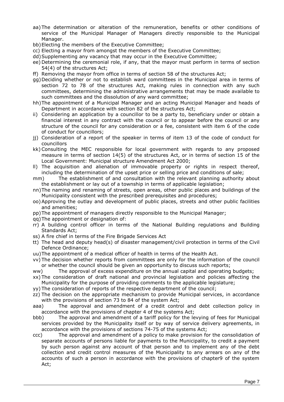- aa)The determination or alteration of the remuneration, benefits or other conditions of service of the Municipal Manager of Managers directly responsible to the Municipal Manager.
- bb)Electing the members of the Executive Committee;
- cc) Electing a mayor from amongst the members of the Executive Committee;
- dd)Supplementing any vacancy that may occur in the Executive Committee;
- ee) Determining the ceremonial role, if any, that the mayor must perform in terms of section 54(4) of the structures Act;
- ff) Removing the mayor from office in terms of section 58 of the structures Act;
- gg)Deciding whether or not to establish ward committees in the Municipal area in terms of section 72 to 78 of the structures Act, making rules in connection with any such committees, determining the administrative arrangements that may be made available to such committees and the dissolution of any ward committee;
- hh)The appointment of a Municipal Manager and an acting Municipal Manager and heads of Department in accordance with section 82 of the structures Act;
- ii) Considering an application by a councillor to be a party to, beneficiary under or obtain a financial interest in any contract with the council or to appear before the council or any structure of the council for any consideration or a fee, consistent with item 6 of the code of conduct for councillors;
- jj) Consideration of a report of the speaker in terms of item 13 of the code of conduct for councillors
- kk)Consulting the MEC responsible for local government with regards to any proposed measure in terms of section 14(5) of the structures Act, or in terms of section 15 of the Local Government: Municipal structure Amendment Act 2000;
- ll) The acquisition and alienation of immovable property or rights in respect thereof, including the determination of the upset price or selling price and conditions of sale;
- mm) The establishment of and consultation with the relevant planning authority about the establishment or lay out of a township in terms of applicable legislation;
- nn)The naming and renaming of streets, open areas, other public places and buildings of the Municipality consistent with the prescribed prerequisites and procedures;
- oo)Approving the outlay and development of public places, streets and other public facilities and amenities;
- pp)The appointment of managers directly responsible to the Municipal Manager;
- qq)The appointment or designation of:
- rr) A building control officer in terms of the National Building regulations and Building Standards Act;
- ss) A fire chief in terms of the Fire Brigade Services Act
- tt) The head and deputy head(s) of disaster management/civil protection in terms of the Civil Defence Ordinance;
- uu)The appointment of a medical officer of health in terms of the Health Act.
- vv) The decision whether reports from committees are only for the information of the council or whether the council should be given an opportunity to discuss such reports;
- ww) The approval of excess expenditure on the annual capital and operating budgets;
- xx) The consideration of draft national and provincial legislation and policies affecting the Municipality for the purpose of providing comments to the applicable legislature;
- yy) The consideration of reports of the respective department of the council;
- zz) The decision on the appropriate mechanism to provide Municipal services, in accordance with the provisions of section 73 to 84 of the system Act;
- aaa) The approval and amendment of a credit control and debt collection policy in accordance with the provisions of chapter 4 of the systems Act;
- bbb) The approval and amendment of a tariff policy for the levying of fees for Municipal services provided by the Municipality itself or by way of service delivery agreements, in accordance with the provisions of sections 74-75 of the systems Act;
- ccc) The approval and amendment of a policy to make provision for the consolidation of separate accounts of persons liable for payments to the Municipality, to credit a payment by such person against any account of that person and to implement any of the debt collection and credit control measures of the Municipality to any arrears on any of the accounts of such a person in accordance with the provisions of chapter9 of the system Act;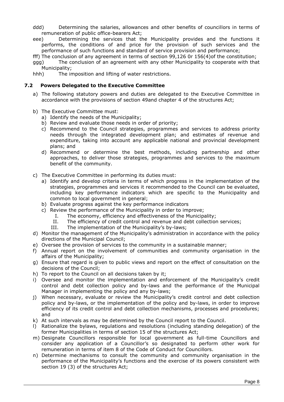- ddd) Determining the salaries, allowances and other benefits of councillors in terms of remuneration of public office-bearers Act;
- eee) Determining the services that the Municipality provides and the functions it performs, the conditions of and price for the provision of such services and the performance of such functions and standard of service provision and performance;

fff) The conclusion of any agreement in terms of section 99,126 0r 156(4)of the constitution;

- ggg) The conclusion of an agreement with any other Municipality to cooperate with that Municipality;
- hhh) The imposition and lifting of water restrictions.

#### <span id="page-8-0"></span>**7.2 Powers Delegated to the Executive Committee**

- a) The following statutory powers and duties are delegated to the Executive Committee in accordance with the provisions of section 49and chapter 4 of the structures Act;
- b) The Executive Committee must:
	- a) Identify the needs of the Municipality;
	- b) Review and evaluate those needs in order of priority;
	- c) Recommend to the Council strategies, programmes and services to address priority needs through the integrated development plan; and estimates of revenue and expenditure, taking into account any applicable national and provincial development plans; and
	- d) Recommend or determine the best methods, including partnership and other approaches, to deliver those strategies, programmes and services to the maximum benefit of the community.
- c) The Executive Committee in performing its duties must:
	- a) Identify and develop criteria in terms of which progress in the implementation of the strategies, programmes and services it recommended to the Council can be evaluated, including key performance indicators which are specific to the Municipality and common to local government in general;
	- b) Evaluate progress against the key performance indicators
	- c) Review the performance of the Municipality in order to improve;
		- I. The economy, efficiency and effectiveness of the Municipality;
		- II. The efficiency of credit control and revenue and debt collection services;
		- III. The implementation of the Municipality's by-laws;
- d) Monitor the management of the Municipality's administration in accordance with the policy directions of the Municipal Council;
- e) Oversee the provision of services to the community in a sustainable manner;
- f) Annual report on the involvement of communities and community organisation in the affairs of the Municipality;
- g) Ensure that regard is given to public views and report on the effect of consultation on the decisions of the Council;
- h) To report to the Council on all decisions taken by it;
- i) Oversee and monitor the implementation and enforcement of the Municipality's credit control and debt collection policy and by-laws and the performance of the Municipal Manager in implementing the policy and any by-laws;
- j) When necessary, evaluate or review the Municipality's credit control and debt collection policy and by-laws, or the implementation of the policy and by-laws, in order to improve efficiency of its credit control and debt collection mechanisms, processes and procedures; and
- k) At such intervals as may be determined by the Council report to the Council.
- l) Rationalize the bylaws, regulations and resolutions (including standing delegation) of the former Municipalities in terms of section 15 of the structures Act;
- m) Designate Councillors responsible for local government as full-time Councillors and consider any application of a Councillor's so designated to perform other work for remuneration in terms of item 8 of the Code of Conduct for Councillors.
- n) Determine mechanisms to consult the community and community organisation in the performance of the Municipality's functions and the exercise of its powers consistent with section 19 (3) of the structures Act;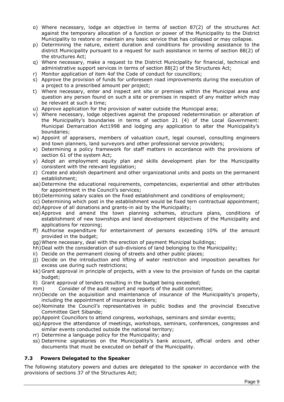- o) Where necessary, lodge an objective in terms of section 87(2) of the structures Act against the temporary allocation of a function or power of the Municipality to the District Municipality to restore or maintain any basic service that has collapsed or may collapse.
- p) Determining the nature, extent duration and conditions for providing assistance to the district Municipality pursuant to a request for such assistance in terms of section 88(2) of the structures Act;
- q) Where necessary, make a request to the District Municipality for financial, technical and administrative support services in terms of section 88(2) of the Structures Act;
- r) Monitor application of item 4of the Code of conduct for councillors;
- s) Approve the provision of funds for unforeseen road improvements during the execution of a project to a prescribed amount per project;
- t) Where necessary, enter and inspect ant site or premises within the Municipal area and question any person found on such a site or premises in respect of any matter which may be relevant at such a time;
- u) Approve application for the provision of water outside the Municipal area;
- v) Where necessary, lodge objectives against the proposed redetermination or alteration of the Municipality's boundaries in terms of section 21 (4) of the Local Government: Municipal Demarcation Act1998 and lodging any application to alter the Municipality's boundaries;
- w) Appoint of appraisers, members of valuation court, legal counsel, consulting engineers and town planners, land surveyors and other professional service providers;
- x) Determining a policy framework for staff matters in accordance with the provisions of section 61 of the system Act;
- y) Adopt an employment equity plan and skills development plan for the Municipality consistent with the relevant legislation;
- z) Create and abolish department and other organizational units and posts on the permanent establishment;
- aa)Determine the educational requirements, competencies, experiential and other attributes for appointment in the Council's services;
- bb)Determining salary scales on the fixed establishment and conditions of employment;
- cc) Determining which post in the establishment would be fixed tern contractual appointment;
- dd)Approve of all donations and grants-in aid by the Municipality;
- ee) Approve and amend the town planning schemes, structure plans, conditions of establishment of new townships and land development objectives of the Municipality and applications for rezoning;
- ff) Authorise expenditure for entertainment of persons exceeding 10% of the amount provided in the budget;
- gg)Where necessary, deal with the erection of payment Municipal buildings;
- hh)Deal with the consideration of sub-divisions of land belonging to the Municipality;
- ii) Decide on the permanent closing of streets and other public places;
- jj) Decide on the introduction and lifting of water restriction and imposition penalties for excess use during such restrictions;
- kk) Grant approval in principle of projects, with a view to the provision of funds on the capital budget;
- ll) Grant approval of tenders resulting in the budget being exceeded;
- mm) Consider of the audit report and reports of the audit committee;
- nn)Decide on the acquisition and maintenance of insurance of the Municipality's property, including the appointment of insurance brokers;
- oo)Nominate the Council's representatives in public bodies and the provincial Executive Committee Gert Sibande;
- pp)Appoint Councillors to attend congress, workshops, seminars and similar events;
- qq)Approve the attendance of meetings, workshops, seminars, conferences, congresses and similar events conducted outside the national territory;
- rr) Determine a language policy for the Municipality; and
- ss) Determine signatories on the Municipality's bank account, official orders and other documents that must be executed on behalf of the Municipality.

# <span id="page-9-0"></span>**7.3 Powers Delegated to the Speaker**

The following statutory powers and duties are delegated to the speaker in accordance with the provisions of sections 37 of the Structures Act;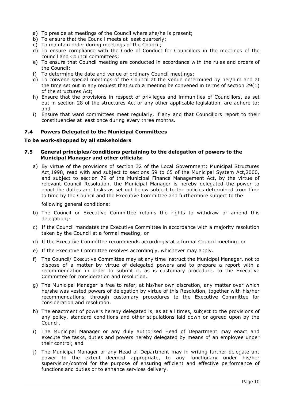- a) To preside at meetings of the Council where she/he is present;
- b) To ensure that the Council meets at least quarterly;
- c) To maintain order during meetings of the Council;
- d) To ensure compliance with the Code of Conduct for Councillors in the meetings of the council and Council committees;
- e) To ensure that Council meeting are conducted in accordance with the rules and orders of the Council;
- f) To determine the date and venue of ordinary Council meetings;
- g) To convene special meetings of the Council at the venue determined by her/him and at the time set out in any request that such a meeting be convened in terms of section 29(1) of the structures Act;
- h) Ensure that the provisions in respect of privileges and immunities of Councillors, as set out in section 28 of the structures Act or any other applicable legislation, are adhere to; and
- i) Ensure that ward committees meet regularly, if any and that Councillors report to their constituencies at least once during every three months.

# <span id="page-10-0"></span>**7.4 Powers Delegated to the Municipal Committees**

#### **To be work-shopped by all stakeholders**

#### <span id="page-10-1"></span>**7.5 General principles/conditions pertaining to the delegation of powers to the Municipal Manager and other officials:**

a) By virtue of the provisions of section 32 of the Local Government: Municipal Structures Act,1998, read with and subject to sections 59 to 65 of the Municipal System Act,2000, and subject to section 79 of the Municipal Finance Management Act, by the virtue of relevant Council Resolution, the Municipal Manager is hereby delegated the power to enact the duties and tasks as set out below subject to the policies determined from time to time by the Council and the Executive Committee and furthermore subject to the

following general conditions:

- b) The Council or Executive Committee retains the rights to withdraw or amend this delegation;-
- c) If the Council mandates the Executive Committee in accordance with a majority resolution taken by the Council at a formal meeting; or
- d) If the Executive Committee recommends accordingly at a formal Council meeting; or
- e) If the Executive Committee resolves accordingly, whichever may apply.
- f) The Council/ Executive Committee may at any time instruct the Municipal Manager, not to dispose of a matter by virtue of delegated powers and to prepare a report with a recommendation in order to submit it, as is customary procedure, to the Executive Committee for consideration and resolution.
- g) The Municipal Manager is free to refer, at his/her own discretion, any matter over which he/she was vested powers of delegation by virtue of this Resolution, together with his/her recommendations, through customary procedures to the Executive Committee for consideration and resolution.
- h) The enactment of powers hereby delegated is, as at all times, subject to the provisions of any policy, standard conditions and other stipulations laid down or agreed upon by the Council.
- i) The Municipal Manager or any duly authorised Head of Department may enact and execute the tasks, duties and powers hereby delegated by means of an employee under their control; and
- j) The Municipal Manager or any Head of Department may in writing further delegate ant power to the extent deemed appropriate, to any functionary under his/her supervision/control for the purpose of ensuring efficient and effective performance of functions and duties or to enhance services delivery.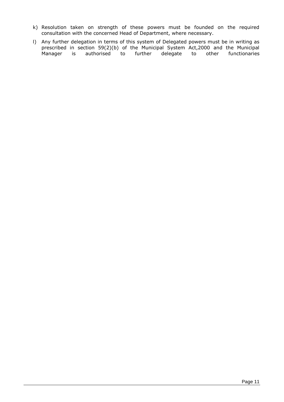- k) Resolution taken on strength of these powers must be founded on the required consultation with the concerned Head of Department, where necessary.
- l) Any further delegation in terms of this system of Delegated powers must be in writing as prescribed in section 59(2)(b) of the Municipal System Act,2000 and the Municipal Manager is authorised to further delegate to other functionaries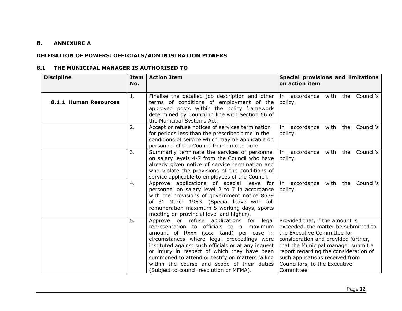# **8. ANNEXURE A**

#### **DELEGATION OF POWERS: OFFICIALS/ADMINISTRATION POWERS**

#### **8.1 THE MUNICIPAL MANAGER IS AUTHORISED TO**

<span id="page-12-3"></span><span id="page-12-2"></span><span id="page-12-1"></span><span id="page-12-0"></span>

| <b>Discipline</b>     | Item<br>No. | <b>Action Item</b>                                                                                                                                                                                                                                                                                                                                                                                                                   | <b>Special provisions and limitations</b><br>on action item                                                                                                                                                                                                                                                     |
|-----------------------|-------------|--------------------------------------------------------------------------------------------------------------------------------------------------------------------------------------------------------------------------------------------------------------------------------------------------------------------------------------------------------------------------------------------------------------------------------------|-----------------------------------------------------------------------------------------------------------------------------------------------------------------------------------------------------------------------------------------------------------------------------------------------------------------|
| 8.1.1 Human Resources | 1.          | Finalise the detailed job description and other $\vert$ In accordance with the Council's<br>terms of conditions of employment of the<br>approved posts within the policy framework<br>determined by Council in line with Section 66 of<br>the Municipal Systems Act.                                                                                                                                                                 | policy.                                                                                                                                                                                                                                                                                                         |
|                       | 2.          | Accept or refuse notices of services termination<br>for periods less than the prescribed time in the<br>conditions of service which may be applicable on<br>personnel of the Council from time to time.                                                                                                                                                                                                                              | Council's<br>In accordance<br>with<br>the<br>policy.                                                                                                                                                                                                                                                            |
|                       | 3.          | Summarily terminate the services of personnel<br>on salary levels 4-7 from the Council who have<br>already given notice of service termination and<br>who violate the provisions of the conditions of<br>service applicable to employees of the Council.                                                                                                                                                                             | In accordance with the Council's<br>policy.                                                                                                                                                                                                                                                                     |
|                       | 4.          | Approve applications of special leave for<br>personnel on salary level 2 to 7 in accordance<br>with the provisions of government notice 8639<br>of 31 March 1983. (Special leave with full<br>remuneration maximum 5 working days, sports<br>meeting on provincial level and higher).                                                                                                                                                | In accordance with the Council's<br>policy.                                                                                                                                                                                                                                                                     |
|                       | 5.          | Approve or refuse applications for<br>legal<br>representation to officials to a maximum<br>amount of Rxxx (xxx Rand) per case in<br>circumstances where legal proceedings were<br>instituted against such officials or at any inquest<br>or injury in respect of which they have been<br>summoned to attend or testify on matters falling<br>within the course and scope of their duties<br>(Subject to council resolution or MFMA). | Provided that, if the amount is<br>exceeded, the matter be submitted to<br>the Executive Committee for<br>consideration and provided further,<br>that the Municipal manager submit a<br>report regarding the consideration of<br>such applications received from<br>Councillors, to the Executive<br>Committee. |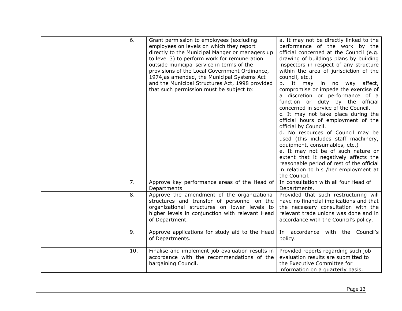| 6.  | Grant permission to employees (excluding<br>employees on levels on which they report<br>directly to the Municipal Manger or managers up<br>to level 3) to perform work for remuneration<br>outside municipal service in terms of the<br>provisions of the Local Government Ordinance,<br>1974, as amended, the Municipal Systems Act<br>and the Municipal Structures Act, 1998 provided<br>that such permission must be subject to: | a. It may not be directly linked to the<br>performance of the work by the<br>official concerned at the Council (e.g.<br>drawing of buildings plans by building<br>inspectors in respect of any structure<br>within the area of jurisdiction of the<br>council, etc.)<br>b. It may<br>affect,<br>in no<br>way<br>compromise or impede the exercise of<br>a discretion or performance of a<br>function or duty by the official<br>concerned in service of the Council.<br>c. It may not take place during the<br>official hours of employment of the<br>official by Council.<br>d. No resources of Council may be<br>used (this includes staff machinery,<br>equipment, consumables, etc.)<br>e. It may not be of such nature or<br>extent that it negatively affects the<br>reasonable period of rest of the official<br>in relation to his /her employment at<br>the Council. |
|-----|-------------------------------------------------------------------------------------------------------------------------------------------------------------------------------------------------------------------------------------------------------------------------------------------------------------------------------------------------------------------------------------------------------------------------------------|-------------------------------------------------------------------------------------------------------------------------------------------------------------------------------------------------------------------------------------------------------------------------------------------------------------------------------------------------------------------------------------------------------------------------------------------------------------------------------------------------------------------------------------------------------------------------------------------------------------------------------------------------------------------------------------------------------------------------------------------------------------------------------------------------------------------------------------------------------------------------------|
| 7.  | Approve key performance areas of the Head of<br>Departments                                                                                                                                                                                                                                                                                                                                                                         | In consultation with all four Head of<br>Departments.                                                                                                                                                                                                                                                                                                                                                                                                                                                                                                                                                                                                                                                                                                                                                                                                                         |
| 8.  | Approve the amendment of the organizational<br>structures and transfer of personnel on the<br>organizational structures on lower levels to<br>higher levels in conjunction with relevant Head<br>of Department.                                                                                                                                                                                                                     | Provided that such restructuring will<br>have no financial implications and that<br>the necessary consultation with the<br>relevant trade unions was done and in<br>accordance with the Council's policy.                                                                                                                                                                                                                                                                                                                                                                                                                                                                                                                                                                                                                                                                     |
| 9.  | Approve applications for study aid to the Head<br>of Departments.                                                                                                                                                                                                                                                                                                                                                                   | In accordance with the Council's<br>policy.                                                                                                                                                                                                                                                                                                                                                                                                                                                                                                                                                                                                                                                                                                                                                                                                                                   |
| 10. | Finalise and implement job evaluation results in<br>accordance with the recommendations of the<br>bargaining Council.                                                                                                                                                                                                                                                                                                               | Provided reports regarding such job<br>evaluation results are submitted to<br>the Executive Committee for<br>information on a quarterly basis.                                                                                                                                                                                                                                                                                                                                                                                                                                                                                                                                                                                                                                                                                                                                |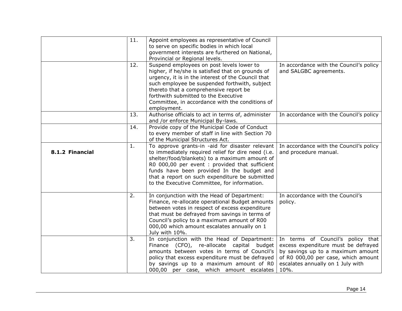<span id="page-14-0"></span>

|                 | 11. | Appoint employees as representative of Council                                                                                                                                                                                                                                                                     |                                                                          |
|-----------------|-----|--------------------------------------------------------------------------------------------------------------------------------------------------------------------------------------------------------------------------------------------------------------------------------------------------------------------|--------------------------------------------------------------------------|
|                 |     | to serve on specific bodies in which local<br>government interests are furthered on National,                                                                                                                                                                                                                      |                                                                          |
|                 |     | Provincial or Regional levels.                                                                                                                                                                                                                                                                                     |                                                                          |
|                 | 12. | Suspend employees on post levels lower to                                                                                                                                                                                                                                                                          | In accordance with the Council's policy                                  |
|                 |     | higher, if he/she is satisfied that on grounds of<br>urgency, it is in the interest of the Council that                                                                                                                                                                                                            | and SALGBC agreements.                                                   |
|                 |     | such employee be suspended forthwith, subject                                                                                                                                                                                                                                                                      |                                                                          |
|                 |     | thereto that a comprehensive report be                                                                                                                                                                                                                                                                             |                                                                          |
|                 |     | forthwith submitted to the Executive                                                                                                                                                                                                                                                                               |                                                                          |
|                 |     | Committee, in accordance with the conditions of                                                                                                                                                                                                                                                                    |                                                                          |
|                 | 13. | employment.<br>Authorise officials to act in terms of, administer                                                                                                                                                                                                                                                  | In accordance with the Council's policy                                  |
|                 |     | and /or enforce Municipal By-laws.                                                                                                                                                                                                                                                                                 |                                                                          |
|                 | 14. | Provide copy of the Municipal Code of Conduct                                                                                                                                                                                                                                                                      |                                                                          |
|                 |     | to every member of staff in line with Section 70                                                                                                                                                                                                                                                                   |                                                                          |
|                 | 1.  | of the Municipal Structures Act.<br>To approve grants-in -aid for disaster relevant                                                                                                                                                                                                                                |                                                                          |
| 8.1.2 Financial |     | to immediately required relief for dire need (i.e.<br>shelter/food/blankets) to a maximum amount of<br>R0 000,00 per event : provided that sufficient<br>funds have been provided In the budget and                                                                                                                | In accordance with the Council's policy<br>and procedure manual.         |
|                 |     | that a report on such expenditure be submitted<br>to the Executive Committee, for information.                                                                                                                                                                                                                     |                                                                          |
|                 | 2.  | In conjunction with the Head of Department:<br>Finance, re-allocate operational Budget amounts<br>between votes in respect of excess expenditure<br>that must be defrayed from savings in terms of<br>Council's policy to a maximum amount of R00<br>000,00 which amount escalates annually on 1<br>July with 10%. | In accordance with the Council's<br>policy.                              |
|                 | 3.  | In conjunction with the Head of Department:                                                                                                                                                                                                                                                                        | In terms of Council's policy that                                        |
|                 |     | Finance (CFO), re-allocate capital<br>budget<br>amounts between votes in terms of Council's                                                                                                                                                                                                                        | excess expenditure must be defrayed<br>by savings up to a maximum amount |
|                 |     | policy that excess expenditure must be defrayed                                                                                                                                                                                                                                                                    | of R0 000,00 per case, which amount                                      |
|                 |     | by savings up to a maximum amount of R0                                                                                                                                                                                                                                                                            | escalates annually on 1 July with                                        |
|                 |     | 000,00 per case, which amount escalates                                                                                                                                                                                                                                                                            | 10%.                                                                     |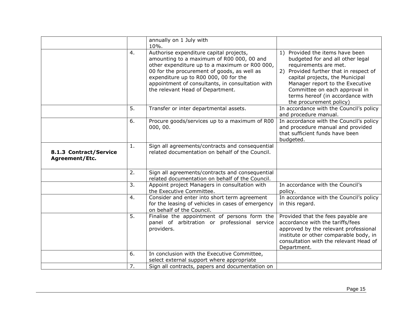<span id="page-15-0"></span>

|                                          |    | annually on 1 July with<br>10%.                                                                                                                                                                                                                                                                                       |                                                                                                                                                                                                                                                                                                              |
|------------------------------------------|----|-----------------------------------------------------------------------------------------------------------------------------------------------------------------------------------------------------------------------------------------------------------------------------------------------------------------------|--------------------------------------------------------------------------------------------------------------------------------------------------------------------------------------------------------------------------------------------------------------------------------------------------------------|
|                                          | 4. | Authorise expenditure capital projects,<br>amounting to a maximum of R00 000, 00 and<br>other expenditure up to a maximum or R00 000,<br>00 for the procurement of goods, as well as<br>expenditure up to R00 000, 00 for the<br>appointment of consultants, in consultation with<br>the relevant Head of Department. | 1) Provided the items have been<br>budgeted for and all other legal<br>requirements are met.<br>2) Provided further that in respect of<br>capital projects, the Municipal<br>Manager report to the Executive<br>Committee on each approval in<br>terms hereof (in accordance with<br>the procurement policy) |
|                                          | 5. | Transfer or inter departmental assets.                                                                                                                                                                                                                                                                                | In accordance with the Council's policy<br>and procedure manual.                                                                                                                                                                                                                                             |
|                                          | 6. | Procure goods/services up to a maximum of R00<br>000, 00.                                                                                                                                                                                                                                                             | In accordance with the Council's policy<br>and procedure manual and provided<br>that sufficient funds have been<br>budgeted.                                                                                                                                                                                 |
| 8.1.3 Contract/Service<br>Agreement/Etc. | 1. | Sign all agreements/contracts and consequential<br>related documentation on behalf of the Council.                                                                                                                                                                                                                    |                                                                                                                                                                                                                                                                                                              |
|                                          | 2. | Sign all agreements/contracts and consequential<br>related documentation on behalf of the Council.                                                                                                                                                                                                                    |                                                                                                                                                                                                                                                                                                              |
|                                          | 3. | Appoint project Managers in consultation with<br>the Executive Committee.                                                                                                                                                                                                                                             | In accordance with the Council's<br>policy.                                                                                                                                                                                                                                                                  |
|                                          | 4. | Consider and enter into short term agreement<br>for the leasing of vehicles in cases of emergency<br>on behalf of the Council.                                                                                                                                                                                        | In accordance with the Council's policy<br>in this regard.                                                                                                                                                                                                                                                   |
|                                          | 5. | Finalise the appointment of persons form the<br>panel of arbitration or professional service<br>providers.                                                                                                                                                                                                            | Provided that the fees payable are<br>accordance with the tariffs/fees<br>approved by the relevant professional<br>institute or other comparable body, in<br>consultation with the relevant Head of<br>Department.                                                                                           |
|                                          | 6. | In conclusion with the Executive Committee,<br>select external support where appropriate                                                                                                                                                                                                                              |                                                                                                                                                                                                                                                                                                              |
|                                          | 7. | Sign all contracts, papers and documentation on                                                                                                                                                                                                                                                                       |                                                                                                                                                                                                                                                                                                              |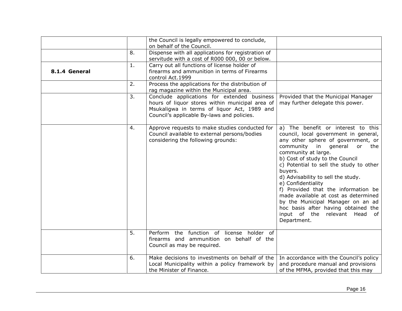<span id="page-16-0"></span>

|               |    | the Council is legally empowered to conclude,<br>on behalf of the Council.                                                                                                                  |                                                                                                                                                                                                                                                                                                                                                                                                                                                                                                                                            |
|---------------|----|---------------------------------------------------------------------------------------------------------------------------------------------------------------------------------------------|--------------------------------------------------------------------------------------------------------------------------------------------------------------------------------------------------------------------------------------------------------------------------------------------------------------------------------------------------------------------------------------------------------------------------------------------------------------------------------------------------------------------------------------------|
|               | 8. | Dispense with all applications for registration of<br>servitude with a cost of R000 000, 00 or below.                                                                                       |                                                                                                                                                                                                                                                                                                                                                                                                                                                                                                                                            |
| 8.1.4 General | 1. | Carry out all functions of license holder of<br>firearms and ammunition in terms of Firearms<br>control Act.1999                                                                            |                                                                                                                                                                                                                                                                                                                                                                                                                                                                                                                                            |
|               | 2. | Process the applications for the distribution of<br>rag magazine within the Municipal area.                                                                                                 |                                                                                                                                                                                                                                                                                                                                                                                                                                                                                                                                            |
|               | 3. | Conclude applications for extended business<br>hours of liquor stores within municipal area of<br>Msukaligwa in terms of liquor Act, 1989 and<br>Council's applicable By-laws and policies. | Provided that the Municipal Manager<br>may further delegate this power.                                                                                                                                                                                                                                                                                                                                                                                                                                                                    |
|               | 4. | Approve requests to make studies conducted for<br>Council available to external persons/bodies<br>considering the following grounds:                                                        | a) The benefit or interest to this<br>council, local government in general,<br>any other sphere of government, or<br>community in general or<br>the<br>community at large.<br>b) Cost of study to the Council<br>c) Potential to sell the study to other<br>buyers.<br>d) Advisability to sell the study.<br>e) Confidentiality<br>f) Provided that the information be<br>made available at cost as determined<br>by the Municipal Manager on an ad<br>hoc basis after having obtained the<br>input of the relevant Head of<br>Department. |
|               | 5. | Perform the function of license holder of<br>firearms and ammunition on behalf of the<br>Council as may be required.                                                                        |                                                                                                                                                                                                                                                                                                                                                                                                                                                                                                                                            |
|               | 6. | Make decisions to investments on behalf of the<br>Local Municipality within a policy framework by<br>the Minister of Finance.                                                               | In accordance with the Council's policy<br>and procedure manual and provisions<br>of the MFMA, provided that this may                                                                                                                                                                                                                                                                                                                                                                                                                      |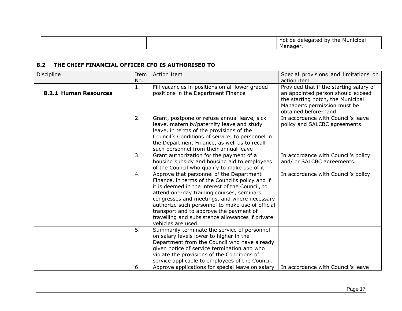|  | not<br>the<br>≅ Municipa <sub>r</sub><br>nv<br>рe<br>атес<br>aelec |
|--|--------------------------------------------------------------------|
|  | Manage                                                             |

# **8.2 THE CHIEF FINANCIAL OFFICER CFO IS AUTHORISED TO**

<span id="page-17-1"></span><span id="page-17-0"></span>

| Discipline            | Item | Action Item                                      | Special provisions and limitations on   |
|-----------------------|------|--------------------------------------------------|-----------------------------------------|
|                       | No.  |                                                  | action item                             |
|                       | 1.   | Fill vacancies in positions on all lower graded  | Provided that if the starting salary of |
| 8.2.1 Human Resources |      | positions in the Department Finance              | an appointed person should exceed       |
|                       |      |                                                  | the starting notch, the Municipal       |
|                       |      |                                                  | Manager's permission must be            |
|                       |      |                                                  | obtained before-hand.                   |
|                       | 2.   | Grant, postpone or refuse annual leave, sick     | In accordance with Council's leave      |
|                       |      | leave, maternity/paternity leave and study       | policy and SALCBC agreements.           |
|                       |      | leave, in terms of the provisions of the         |                                         |
|                       |      | Council's Conditions of service, to personnel in |                                         |
|                       |      | the Department Finance, as well as to recall     |                                         |
|                       |      | such personnel from their annual leave           |                                         |
|                       | 3.   | Grant authorization for the payment of a         | In accordance with Council's policy     |
|                       |      | housing subsidy and housing aid to employees     | and/ or SALCBC agreements.              |
|                       |      | of the Council who qualify to make use of it.    |                                         |
|                       | 4.   | Approve that personnel of the Department         | In accordance with Council's policy.    |
|                       |      | Finance, in terms of the Council's policy and if |                                         |
|                       |      | it is deemed in the interest of the Council, to  |                                         |
|                       |      | attend one-day training courses, seminars,       |                                         |
|                       |      | congresses and meetings, and where necessary     |                                         |
|                       |      | authorize such personnel to make use of official |                                         |
|                       |      | transport and to approve the payment of          |                                         |
|                       |      | travelling and subsistence allowances if private |                                         |
|                       |      | vehicles are used.                               |                                         |
|                       | 5.   | Summarily terminate the service of personnel     |                                         |
|                       |      | on salary levels lower to higher in the          |                                         |
|                       |      | Department from the Council who have already     |                                         |
|                       |      | given notice of service termination and who      |                                         |
|                       |      | violate the provisions of the Conditions of      |                                         |
|                       |      | service applicable to employees of the Council.  |                                         |
|                       | 6.   | Approve applications for special leave on salary | In accordance with Council's leave      |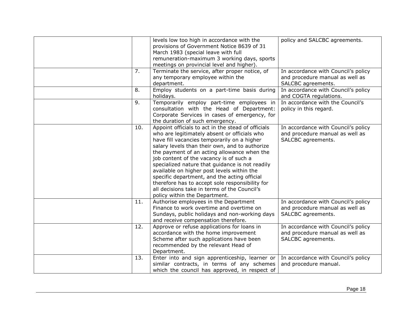|    |     | levels low too high in accordance with the                                                      | policy and SALCBC agreements.       |
|----|-----|-------------------------------------------------------------------------------------------------|-------------------------------------|
|    |     | provisions of Government Notice 8639 of 31                                                      |                                     |
|    |     | March 1983 (special leave with full                                                             |                                     |
|    |     | remuneration-maximum 3 working days, sports                                                     |                                     |
| 7. |     | meetings on provincial level and higher).<br>Terminate the service, after proper notice, of     | In accordance with Council's policy |
|    |     | any temporary employee within the                                                               | and procedure manual as well as     |
|    |     | department.                                                                                     | SALCBC agreements.                  |
| 8. |     | Employ students on a part-time basis during                                                     | In accordance with Council's policy |
|    |     | holidays.                                                                                       | and COGTA regulations.              |
| 9. |     | Temporarily employ part-time employees in                                                       | In accordance with the Council's    |
|    |     | consultation with the Head of Department:                                                       | policy in this regard.              |
|    |     | Corporate Services in cases of emergency, for                                                   |                                     |
|    |     | the duration of such emergency.                                                                 |                                     |
|    | 10. | Appoint officials to act in the stead of officials                                              | In accordance with Council's policy |
|    |     | who are legitimately absent or officials who                                                    | and procedure manual as well as     |
|    |     | have fill vacancies temporarily on a higher                                                     | SALCBC agreements.                  |
|    |     | salary levels than their own, and to authorize                                                  |                                     |
|    |     | the payment of an acting allowance when the                                                     |                                     |
|    |     | job content of the vacancy is of such a                                                         |                                     |
|    |     | specialized nature that guidance is not readily                                                 |                                     |
|    |     | available on higher post levels within the                                                      |                                     |
|    |     | specific department, and the acting official                                                    |                                     |
|    |     | therefore has to accept sole responsibility for<br>all decisions take in terms of the Council's |                                     |
|    |     |                                                                                                 |                                     |
|    | 11. | policy within the Department.<br>Authorise employees in the Department                          | In accordance with Council's policy |
|    |     | Finance to work overtime and overtime on                                                        | and procedure manual as well as     |
|    |     | Sundays, public holidays and non-working days                                                   | SALCBC agreements.                  |
|    |     | and receive compensation therefore.                                                             |                                     |
|    | 12. | Approve or refuse applications for loans in                                                     | In accordance with Council's policy |
|    |     | accordance with the home improvement                                                            | and procedure manual as well as     |
|    |     | Scheme after such applications have been                                                        | SALCBC agreements.                  |
|    |     | recommended by the relevant Head of                                                             |                                     |
|    |     | Department.                                                                                     |                                     |
|    | 13. | Enter into and sign apprenticeship, learner or                                                  | In accordance with Council's policy |
|    |     | similar contracts, in terms of any schemes                                                      | and procedure manual.               |
|    |     | which the council has approved, in respect of                                                   |                                     |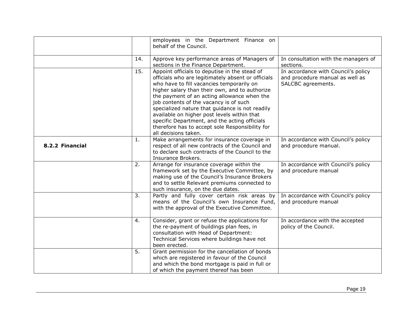<span id="page-19-0"></span>

|                 |     | employees in the Department Finance on<br>behalf of the Council.                                                                                                                                                                                                                                                                                                                                                                                                                                                          |                                                                                              |
|-----------------|-----|---------------------------------------------------------------------------------------------------------------------------------------------------------------------------------------------------------------------------------------------------------------------------------------------------------------------------------------------------------------------------------------------------------------------------------------------------------------------------------------------------------------------------|----------------------------------------------------------------------------------------------|
|                 | 14. | Approve key performance areas of Managers of<br>sections in the Finance Department.                                                                                                                                                                                                                                                                                                                                                                                                                                       | In consultation with the managers of<br>sections.                                            |
|                 | 15. | Appoint officials to deputise in the stead of<br>officials who are legitimately absent or officials<br>who have to fill vacancies temporarily on<br>higher salary than their own, and to authorize<br>the payment of an acting allowance when the<br>job contents of the vacancy is of such<br>specialized nature that guidance is not readily<br>available on higher post levels within that<br>specific Department, and the acting officials<br>therefore has to accept sole Responsibility for<br>all decisions taken. | In accordance with Council's policy<br>and procedure manual as well as<br>SALCBC agreements. |
| 8.2.2 Financial | 1.  | Make arrangements for insurance coverage in<br>respect of all new contracts of the Council and<br>to declare such contracts of the Council to the<br>Insurance Brokers.                                                                                                                                                                                                                                                                                                                                                   | In accordance with Council's policy<br>and procedure manual.                                 |
|                 | 2.  | Arrange for insurance coverage within the<br>framework set by the Executive Committee, by<br>making use of the Council's Insurance Brokers<br>and to settle Relevant premiums connected to<br>such insurance, on the due dates.                                                                                                                                                                                                                                                                                           | In accordance with Council's policy<br>and procedure manual                                  |
|                 | 3.  | Partly and fully cover certain risk areas by<br>means of the Council's own Insurance Fund,<br>with the approval of the Executive Committee.                                                                                                                                                                                                                                                                                                                                                                               | In accordance with Council's policy<br>and procedure manual                                  |
|                 | 4.  | Consider, grant or refuse the applications for<br>the re-payment of buildings plan fees, in<br>consultation with Head of Department:<br>Technical Services where buildings have not<br>been erected.                                                                                                                                                                                                                                                                                                                      | In accordance with the accepted<br>policy of the Council.                                    |
|                 | 5.  | Grant permission for the cancellation of bonds<br>which are registered in favour of the Council<br>and which the bond mortgage is paid in full or<br>of which the payment thereof has been                                                                                                                                                                                                                                                                                                                                |                                                                                              |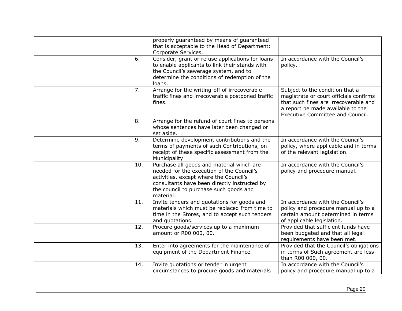|     | properly guaranteed by means of guaranteed<br>that is acceptable to the Head of Department:<br>Corporate Services.                                                                                                                      |                                                                                                                                                                                             |
|-----|-----------------------------------------------------------------------------------------------------------------------------------------------------------------------------------------------------------------------------------------|---------------------------------------------------------------------------------------------------------------------------------------------------------------------------------------------|
| 6.  | Consider, grant or refuse applications for loans<br>to enable applicants to link their stands with<br>the Council's sewerage system, and to<br>determine the conditions of redemption of the<br>loans.                                  | In accordance with the Council's<br>policy.                                                                                                                                                 |
| 7.  | Arrange for the writing-off of irrecoverable<br>traffic fines and irrecoverable postponed traffic<br>fines.                                                                                                                             | Subject to the condition that a<br>magistrate or court officials confirms<br>that such fines are irrecoverable and<br>a report be made available to the<br>Executive Committee and Council. |
| 8.  | Arrange for the refund of court fines to persons<br>whose sentences have later been changed or<br>set aside.                                                                                                                            |                                                                                                                                                                                             |
| 9.  | Determine development contributions and the<br>terms of payments of such Contributions, on<br>receipt of these specific assessment from the<br>Municipality                                                                             | In accordance with the Council's<br>policy, where applicable and in terms<br>of the relevant legislation.                                                                                   |
| 10. | Purchase all goods and material which are<br>needed for the execution of the Council's<br>activities, except where the Council's<br>consultants have been directly instructed by<br>the council to purchase such goods and<br>material. | In accordance with the Council's<br>policy and procedure manual.                                                                                                                            |
| 11. | Invite tenders and quotations for goods and<br>materials which must be replaced from time to<br>time in the Stores, and to accept such tenders<br>and quotations.                                                                       | In accordance with the Council's<br>policy and procedure manual up to a<br>certain amount determined in terms<br>of applicable legislation.                                                 |
| 12. | Procure goods/services up to a maximum<br>amount or R00 000, 00.                                                                                                                                                                        | Provided that sufficient funds have<br>been budgeted and that all legal<br>requirements have been met.                                                                                      |
| 13. | Enter into agreements for the maintenance of<br>equipment of the Department Finance.                                                                                                                                                    | Provided that the Council's obligations<br>in terms of Such agreement are less<br>than R00 000, 00.                                                                                         |
| 14. | Invite quotations or tender in urgent<br>circumstances to procure goods and materials                                                                                                                                                   | In accordance with the Council's<br>policy and procedure manual up to a                                                                                                                     |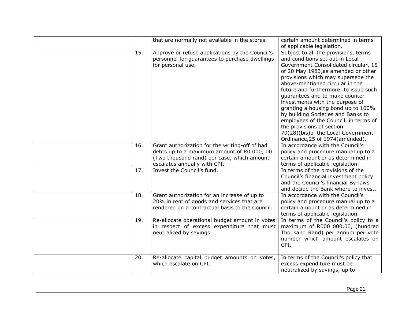|     | that are normally not available in the stores.                                               | certain amount determined in terms                                        |
|-----|----------------------------------------------------------------------------------------------|---------------------------------------------------------------------------|
|     |                                                                                              | of applicable legislation.                                                |
| 15. | Approve or refuse applications by the Council's                                              | Subject to all the provisions, terms                                      |
|     | personnel for guarantees to purchase dwellings                                               | and conditions set out in Local                                           |
|     | for personal use.                                                                            | Government Consolidated circular, 15                                      |
|     |                                                                                              | of 20 May 1983, as amended or other                                       |
|     |                                                                                              | provisions which may supersede the                                        |
|     |                                                                                              | above-mentioned circular in the                                           |
|     |                                                                                              | future and furthermore, to issue such                                     |
|     |                                                                                              | quarantees and to make counter                                            |
|     |                                                                                              | investments with the purpose of                                           |
|     |                                                                                              | granting a housing bond up to 100%                                        |
|     |                                                                                              | by building Societies and Banks to                                        |
|     |                                                                                              | employees of the Council, in terms of                                     |
|     |                                                                                              | the provisions of section                                                 |
|     |                                                                                              | 79(28)(bis) of the Local Government                                       |
|     |                                                                                              | Ordinance, 25 of 1974(amended).                                           |
| 16. | Grant authorization for the writing-off of bad<br>debts up to a maximum amount of R0 000, 00 | In accordance with the Council's                                          |
|     | (Two thousand rand) per case, which amount                                                   | policy and procedure manual up to a<br>certain amount or as determined in |
|     | escalates annually with CPI.                                                                 | terms of applicable legislation.                                          |
| 17. | Invest the Council's fund.                                                                   | In terms of the provisions of the                                         |
|     |                                                                                              | Council's financial investment policy                                     |
|     |                                                                                              | and the Council's financial By-laws                                       |
|     |                                                                                              | and decide the Bank where to invest.                                      |
| 18. | Grant authorization for an increase of up to                                                 | In accordance with the Council's                                          |
|     | 20% in rent of goods and services that are                                                   | policy and procedure manual up to a                                       |
|     | rendered on a contractual basis to the Council.                                              | certain amount or as determined in                                        |
|     |                                                                                              | terms of applicable legislation.                                          |
| 19. | Re-allocate operational budget amount in votes                                               | In terms of the Council's policy to a                                     |
|     | in respect of excess expenditure that must                                                   | maximum of R000 000.00, (hundred                                          |
|     | neutralized by savings.                                                                      | Thousand Rand) per annum per vote                                         |
|     |                                                                                              | number which amount escalates on                                          |
|     |                                                                                              | CPI.                                                                      |
|     |                                                                                              |                                                                           |
| 20. | Re-allocate capital budget amounts on votes,                                                 | In terms of the Council's policy that                                     |
|     | which escalate on CPI.                                                                       | excess expenditure must be                                                |
|     |                                                                                              | neutralized by savings, up to                                             |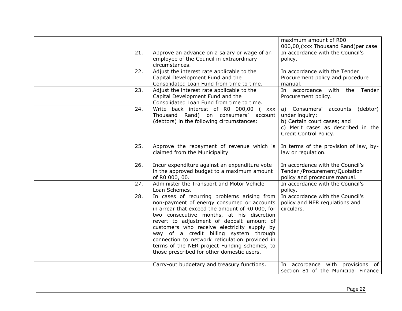|     |                                                                                                                                                                                                                                                                                                                                                                                                                                                                                 | maximum amount of R00<br>000,00, (xxx Thousand Rand) per case                                                                                       |
|-----|---------------------------------------------------------------------------------------------------------------------------------------------------------------------------------------------------------------------------------------------------------------------------------------------------------------------------------------------------------------------------------------------------------------------------------------------------------------------------------|-----------------------------------------------------------------------------------------------------------------------------------------------------|
| 21. | Approve an advance on a salary or wage of an<br>employee of the Council in extraordinary<br>circumstances.                                                                                                                                                                                                                                                                                                                                                                      | In accordance with the Council's<br>policy.                                                                                                         |
| 22. | Adjust the interest rate applicable to the<br>Capital Development Fund and the<br>Consolidated Loan Fund from time to time.                                                                                                                                                                                                                                                                                                                                                     | In accordance with the Tender<br>Procurement policy and procedure<br>manual.                                                                        |
| 23. | Adjust the interest rate applicable to the<br>Capital Development Fund and the<br>Consolidated Loan Fund from time to time.                                                                                                                                                                                                                                                                                                                                                     | In accordance with<br>the<br>Tender<br>Procurement policy.                                                                                          |
| 24. | Write back interest of R0 000,00 ( xxx<br>Thousand Rand) on consumers' account<br>(debtors) in the following circumstances:                                                                                                                                                                                                                                                                                                                                                     | a) Consumers' accounts<br>(debtor)<br>under inquiry;<br>b) Certain court cases; and<br>c) Merit cases as described in the<br>Credit Control Policy. |
| 25. | Approve the repayment of revenue which is<br>claimed from the Municipality                                                                                                                                                                                                                                                                                                                                                                                                      | In terms of the provision of law, by-<br>law or regulation.                                                                                         |
| 26. | Incur expenditure against an expenditure vote<br>in the approved budget to a maximum amount<br>of R0 000, 00.                                                                                                                                                                                                                                                                                                                                                                   | In accordance with the Council's<br>Tender /Procurement/Quotation<br>policy and procedure manual.                                                   |
| 27. | Administer the Transport and Motor Vehicle<br>Loan Schemes.                                                                                                                                                                                                                                                                                                                                                                                                                     | In accordance with the Council's<br>policy.                                                                                                         |
| 28. | In cases of recurring problems arising from<br>non-payment of energy consumed or accounts<br>in arrear that exceed the amount of R0 000, for<br>two consecutive months, at his discretion<br>revert to adjustment of deposit amount of<br>customers who receive electricity supply by<br>way of a credit billing system through<br>connection to network reticulation provided in<br>terms of the NER project Funding schemes, to<br>those prescribed for other domestic users. | In accordance with the Council's<br>policy and NER regulations and<br>circulars.                                                                    |
|     | Carry-out budgetary and treasury functions.                                                                                                                                                                                                                                                                                                                                                                                                                                     | In accordance with provisions of<br>section 81 of the Municipal Finance                                                                             |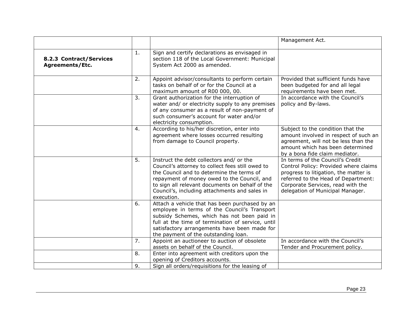<span id="page-23-0"></span>

|                                            |    |                                                                                                                                                                                                                                                                                                            | Management Act.                                                                                                                                                                                                                    |
|--------------------------------------------|----|------------------------------------------------------------------------------------------------------------------------------------------------------------------------------------------------------------------------------------------------------------------------------------------------------------|------------------------------------------------------------------------------------------------------------------------------------------------------------------------------------------------------------------------------------|
| 8.2.3 Contract/Services<br>Agreements/Etc. | 1. | Sign and certify declarations as envisaged in<br>section 118 of the Local Government: Municipal<br>System Act 2000 as amended.                                                                                                                                                                             |                                                                                                                                                                                                                                    |
|                                            | 2. | Appoint advisor/consultants to perform certain<br>tasks on behalf of or for the Council at a<br>maximum amount of R00 000, 00.                                                                                                                                                                             | Provided that sufficient funds have<br>been budgeted for and all legal<br>requirements have been met.                                                                                                                              |
|                                            | 3. | Grant authorization for the interruption of<br>water and/ or electricity supply to any premises<br>of any consumer as a result of non-payment of<br>such consumer's account for water and/or<br>electricity consumption.                                                                                   | In accordance with the Council's<br>policy and By-laws.                                                                                                                                                                            |
|                                            | 4. | According to his/her discretion, enter into<br>agreement where losses occurred resulting<br>from damage to Council property.                                                                                                                                                                               | Subject to the condition that the<br>amount involved in respect of such an<br>agreement, will not be less than the<br>amount which has been determined<br>by a bona fide claim mediator.                                           |
|                                            | 5. | Instruct the debt collectors and/ or the<br>Council's attorney to collect fees still owed to<br>the Council and to determine the terms of<br>repayment of money owed to the Council, and<br>to sign all relevant documents on behalf of the<br>Council's, including attachments and sales in<br>execution. | In terms of the Council's Credit<br>Control Policy: Provided where claims<br>progress to litigation, the matter is<br>referred to the Head of Department:<br>Corporate Services, read with the<br>delegation of Municipal Manager. |
|                                            | 6. | Attach a vehicle that has been purchased by an<br>employee in terms of the Council's Transport<br>subsidy Schemes, which has not been paid in<br>full at the time of termination of service, until<br>satisfactory arrangements have been made for<br>the payment of the outstanding loan.                 |                                                                                                                                                                                                                                    |
|                                            | 7. | Appoint an auctioneer to auction of obsolete<br>assets on behalf of the Council.                                                                                                                                                                                                                           | In accordance with the Council's<br>Tender and Procurement policy.                                                                                                                                                                 |
|                                            | 8. | Enter into agreement with creditors upon the<br>opening of Creditors accounts.                                                                                                                                                                                                                             |                                                                                                                                                                                                                                    |
|                                            | 9. | Sign all orders/requisitions for the leasing of                                                                                                                                                                                                                                                            |                                                                                                                                                                                                                                    |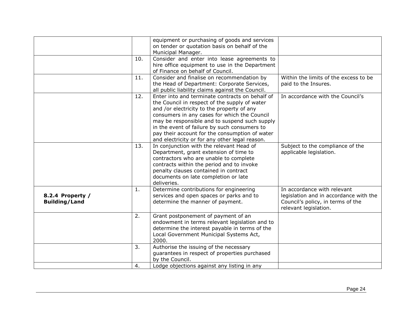<span id="page-24-0"></span>

|                                          |     | equipment or purchasing of goods and services<br>on tender or quotation basis on behalf of the<br>Municipal Manager.                                                                                                                                                                                                                                                                                |                                                                                                                                     |
|------------------------------------------|-----|-----------------------------------------------------------------------------------------------------------------------------------------------------------------------------------------------------------------------------------------------------------------------------------------------------------------------------------------------------------------------------------------------------|-------------------------------------------------------------------------------------------------------------------------------------|
|                                          | 10. | Consider and enter into lease agreements to<br>hire office equipment to use in the Department<br>of Finance on behalf of Council.                                                                                                                                                                                                                                                                   |                                                                                                                                     |
|                                          | 11. | Consider and finalise on recommendation by<br>the Head of Department: Corporate Services,<br>all public liability claims against the Council.                                                                                                                                                                                                                                                       | Within the limits of the excess to be<br>paid to the Insures.                                                                       |
|                                          | 12. | Enter into and terminate contracts on behalf of<br>the Council in respect of the supply of water<br>and /or electricity to the property of any<br>consumers in any cases for which the Council<br>may be responsible and to suspend such supply<br>in the event of failure by such consumers to<br>pay their account for the consumption of water<br>and electricity or for any other legal reason. | In accordance with the Council's                                                                                                    |
|                                          | 13. | In conjunction with the relevant Head of<br>Department, grant extension of time to<br>contractors who are unable to complete<br>contracts within the period and to invoke<br>penalty clauses contained in contract<br>documents on late completion or late<br>deliveries.                                                                                                                           | Subject to the compliance of the<br>applicable legislation.                                                                         |
| 8.2.4 Property /<br><b>Building/Land</b> | 1.  | Determine contributions for engineering<br>services and open spaces or parks and to<br>determine the manner of payment.                                                                                                                                                                                                                                                                             | In accordance with relevant<br>legislation and in accordance with the<br>Council's policy, in terms of the<br>relevant legislation. |
|                                          | 2.  | Grant postponement of payment of an<br>endowment in terms relevant legislation and to<br>determine the interest payable in terms of the<br>Local Government Municipal Systems Act,<br>2000.                                                                                                                                                                                                         |                                                                                                                                     |
|                                          | 3.  | Authorise the issuing of the necessary<br>guarantees in respect of properties purchased<br>by the Council.                                                                                                                                                                                                                                                                                          |                                                                                                                                     |
|                                          | 4.  | Lodge objections against any listing in any                                                                                                                                                                                                                                                                                                                                                         |                                                                                                                                     |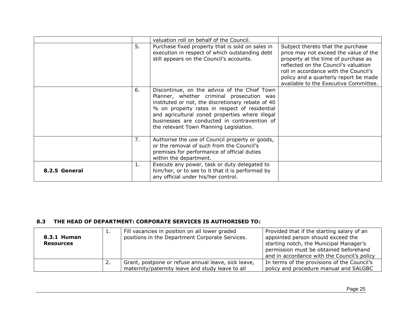|               |    | valuation roll on behalf of the Council.                                                                                                                                                                                                                                                                                                      |                                                                                                                                                                                                                                                                                      |
|---------------|----|-----------------------------------------------------------------------------------------------------------------------------------------------------------------------------------------------------------------------------------------------------------------------------------------------------------------------------------------------|--------------------------------------------------------------------------------------------------------------------------------------------------------------------------------------------------------------------------------------------------------------------------------------|
|               | 5. | Purchase fixed property that is sold on sales in<br>execution in respect of which outstanding debt<br>still appears on the Council's accounts.                                                                                                                                                                                                | Subject thereto that the purchase<br>price may not exceed the value of the<br>property at the time of purchase as<br>reflected on the Council's valuation<br>roll in accordance with the Council's<br>policy and a quarterly report be made<br>available to the Executive Committee. |
|               | 6. | Discontinue, on the advice of the Chief Town<br>Planner, whether criminal prosecution was<br>instituted or not, the discretionary rebate of 40<br>% on property rates in respect of residential<br>and agricultural zoned properties where illegal<br>businesses are conducted in contravention of<br>the relevant Town Planning Legislation. |                                                                                                                                                                                                                                                                                      |
|               | 7. | Authorise the use of Council property or goods,<br>or the removal of such from the Council's<br>premises for performance of official duties<br>within the department.                                                                                                                                                                         |                                                                                                                                                                                                                                                                                      |
| 8.2.5 General | 1. | Execute any power, task or duty delegated to<br>him/her, or to see to it that it is performed by<br>any official under his/her control.                                                                                                                                                                                                       |                                                                                                                                                                                                                                                                                      |

# **8.3 THE HEAD OF DEPARTMENT: CORPORATE SERVICES IS AUTHORISED TO:**

<span id="page-25-2"></span><span id="page-25-1"></span><span id="page-25-0"></span>

| 8.3.1 Human<br><b>Resources</b> | .        | Fill vacancies in position on all lower graded<br>positions in the Department Corporate Services. | Provided that if the starting salary of an<br>appointed person should exceed the<br>starting notch, the Municipal Manager's |
|---------------------------------|----------|---------------------------------------------------------------------------------------------------|-----------------------------------------------------------------------------------------------------------------------------|
|                                 |          |                                                                                                   | permission must be obtained beforehand<br>and in accordance with the Council's policy                                       |
|                                 | <u>.</u> | Grant, postpone or refuse annual leave, sick leave,                                               | In terms of the provisions of the Council's                                                                                 |
|                                 |          | maternity/paternity leave and study leave to all                                                  | policy and procedure manual and SALGBC                                                                                      |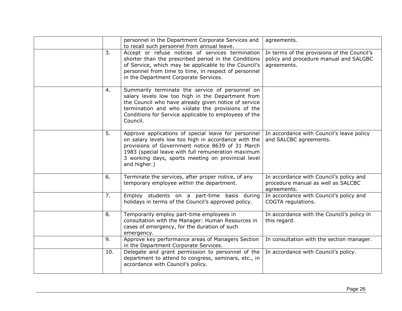|     | personnel in the Department Corporate Services and<br>to recall such personnel from annual leave.                                                                                                                                                                                           | agreements.                                                                                          |
|-----|---------------------------------------------------------------------------------------------------------------------------------------------------------------------------------------------------------------------------------------------------------------------------------------------|------------------------------------------------------------------------------------------------------|
| 3.  | Accept or refuse notices of services termination<br>shorter than the prescribed period in the Conditions<br>of Service, which may be applicable to the Council's<br>personnel from time to time, in respect of personnel<br>in the Department Corporate Services.                           | In terms of the provisions of the Council's<br>policy and procedure manual and SALGBC<br>agreements. |
| 4.  | Summarily terminate the service of personnel on<br>salary levels low too high in the Department from<br>the Council who have already given notice of service<br>termination and who violate the provisions of the<br>Conditions for Service applicable to employees of the<br>Council.      |                                                                                                      |
| 5.  | Approve applications of special leave for personnel<br>on salary levels low too high in accordance with the<br>provisions of Government notice 8639 of 31 March<br>1983 (special leave with full remuneration maximum<br>3 working days, sports meeting on provincial level<br>and higher.) | In accordance with Council's leave policy<br>and SALCBC agreements.                                  |
| 6.  | Terminate the services, after proper notice, of any<br>temporary employee within the department.                                                                                                                                                                                            | In accordance with Council's policy and<br>procedure manual as well as SALCBC<br>agreements.         |
| 7.  | Employ students on a part-time basis during<br>holidays in terms of the Council's approved policy.                                                                                                                                                                                          | In accordance with Council's policy and<br>COGTA regulations.                                        |
| 8.  | Temporarily employ part-time employees in<br>consultation with the Manager: Human Resources in<br>cases of emergency, for the duration of such<br>emergency.                                                                                                                                | In accordance with the Council's policy in<br>this regard.                                           |
| 9.  | Approve key performance areas of Managers Section<br>in the Department Corporate Services.                                                                                                                                                                                                  | In consultation with the section manager.                                                            |
| 10. | Delegate and grant permission to personnel of the<br>department to attend to congress, seminars, etc., in<br>accordance with Council's policy.                                                                                                                                              | In accordance with Council's policy.                                                                 |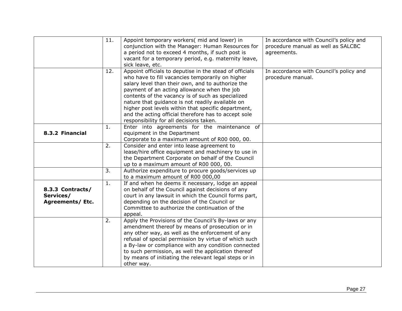<span id="page-27-1"></span><span id="page-27-0"></span>

|                  | 11. | Appoint temporary workers(mid and lower) in             | In accordance with Council's policy and |
|------------------|-----|---------------------------------------------------------|-----------------------------------------|
|                  |     | conjunction with the Manager: Human Resources for       | procedure manual as well as SALCBC      |
|                  |     | a period not to exceed 4 months, if such post is        | agreements.                             |
|                  |     | vacant for a temporary period, e.g. maternity leave,    |                                         |
|                  |     | sick leave, etc.                                        |                                         |
|                  | 12. | Appoint officials to deputise in the stead of officials | In accordance with Council's policy and |
|                  |     | who have to fill vacancies temporarily on higher        | procedure manual.                       |
|                  |     | salary level than their own, and to authorize the       |                                         |
|                  |     | payment of an acting allowance when the job             |                                         |
|                  |     | contents of the vacancy is of such as specialized       |                                         |
|                  |     | nature that guidance is not readily available on        |                                         |
|                  |     | higher post levels within that specific department,     |                                         |
|                  |     | and the acting official therefore has to accept sole    |                                         |
|                  |     | responsibility for all decisions taken.                 |                                         |
|                  | 1.  | Enter into agreements for the maintenance of            |                                         |
| 8.3.2 Financial  |     | equipment in the Department                             |                                         |
|                  |     | Corporate to a maximum amount of R00 000, 00.           |                                         |
|                  | 2.  | Consider and enter into lease agreement to              |                                         |
|                  |     | lease/hire office equipment and machinery to use in     |                                         |
|                  |     | the Department Corporate on behalf of the Council       |                                         |
|                  |     | up to a maximum amount of R00 000, 00.                  |                                         |
|                  | 3.  | Authorize expenditure to procure goods/services up      |                                         |
|                  |     | to a maximum amount of R00 000,00                       |                                         |
|                  | 1.  | If and when he deems it necessary, lodge an appeal      |                                         |
| 8.3.3 Contracts/ |     | on behalf of the Council against decisions of any       |                                         |
| Services/        |     | court in any lawsuit in which the Council forms part,   |                                         |
| Agreements/ Etc. |     | depending on the decision of the Council or             |                                         |
|                  |     | Committee to authorize the continuation of the          |                                         |
|                  |     | appeal.                                                 |                                         |
|                  | 2.  | Apply the Provisions of the Council's By-laws or any    |                                         |
|                  |     | amendment thereof by means of prosecution or in         |                                         |
|                  |     | any other way, as well as the enforcement of any        |                                         |
|                  |     | refusal of special permission by virtue of which such   |                                         |
|                  |     | a By-law or compliance with any condition connected     |                                         |
|                  |     | to such permission, as well the application thereof     |                                         |
|                  |     | by means of initiating the relevant legal steps or in   |                                         |
|                  |     | other way.                                              |                                         |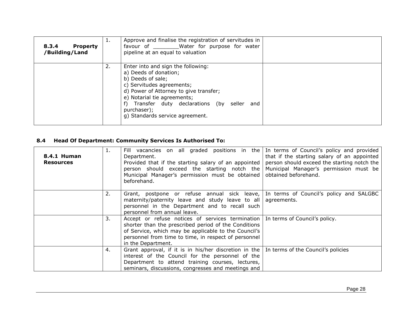| <b>Property</b><br>8.3.4<br>/Building/Land | <b>L.</b> | Approve and finalise the registration of servitudes in<br>favour of _________Water for purpose for water<br>pipeline at an equal to valuation                                                                                                                                            |
|--------------------------------------------|-----------|------------------------------------------------------------------------------------------------------------------------------------------------------------------------------------------------------------------------------------------------------------------------------------------|
|                                            | 2.        | Enter into and sign the following:<br>a) Deeds of donation;<br>b) Deeds of sale;<br>c) Servitudes agreements;<br>d) Power of Attorney to give transfer;<br>e) Notarial tie agreements;<br>f) Transfer duty declarations (by seller and<br>purchaser);<br>g) Standards service agreement. |

# **8.4 Head Of Department: Community Services Is Authorised To:**

<span id="page-28-2"></span><span id="page-28-1"></span><span id="page-28-0"></span>

| 8.4.1 Human<br><b>Resources</b> | Ι. | Fill vacancies on all graded positions in the In terms of Council's policy and provided<br>Department.<br>Provided that if the starting salary of an appointed<br>person should exceed the starting notch the<br>Municipal Manager's permission must be obtained<br>beforehand. | that if the starting salary of an appointed<br>person should exceed the starting notch the<br>Municipal Manager's permission must be<br>obtained beforehand. |
|---------------------------------|----|---------------------------------------------------------------------------------------------------------------------------------------------------------------------------------------------------------------------------------------------------------------------------------|--------------------------------------------------------------------------------------------------------------------------------------------------------------|
|                                 | 2. | Grant, postpone or refuse annual sick leave, In terms of Council's policy and SALGBC<br>maternity/paternity leave and study leave to all<br>personnel in the Department and to recall such<br>personnel from annual leave.                                                      | agreements.                                                                                                                                                  |
|                                 | 3. | Accept or refuse notices of services termination<br>shorter than the prescribed period of the Conditions<br>of Service, which may be applicable to the Council's<br>personnel from time to time, in respect of personnel<br>in the Department.                                  | In terms of Council's policy.                                                                                                                                |
|                                 | 4. | Grant approval, if it is in his/her discretion in the $\vert$ In terms of the Council's policies<br>interest of the Council for the personnel of the<br>Department to attend training courses, lectures,<br>seminars, discussions, congresses and meetings and                  |                                                                                                                                                              |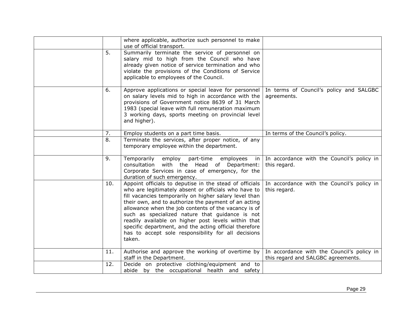|                | where applicable, authorize such personnel to make<br>use of official transport.                                                                                                                                                                                                                                                                                                                                                                                                                                               |                                                                                  |
|----------------|--------------------------------------------------------------------------------------------------------------------------------------------------------------------------------------------------------------------------------------------------------------------------------------------------------------------------------------------------------------------------------------------------------------------------------------------------------------------------------------------------------------------------------|----------------------------------------------------------------------------------|
| 5 <sub>1</sub> | Summarily terminate the service of personnel on<br>salary mid to high from the Council who have<br>already given notice of service termination and who<br>violate the provisions of the Conditions of Service<br>applicable to employees of the Council.                                                                                                                                                                                                                                                                       |                                                                                  |
| 6.             | Approve applications or special leave for personnel<br>on salary levels mid to high in accordance with the<br>provisions of Government notice 8639 of 31 March<br>1983 (special leave with full remuneration maximum<br>3 working days, sports meeting on provincial level<br>and higher).                                                                                                                                                                                                                                     | In terms of Council's policy and SALGBC<br>agreements.                           |
| 7.             | Employ students on a part time basis.                                                                                                                                                                                                                                                                                                                                                                                                                                                                                          | In terms of the Council's policy.                                                |
| 8.             | Terminate the services, after proper notice, of any<br>temporary employee within the department.                                                                                                                                                                                                                                                                                                                                                                                                                               |                                                                                  |
| 9.             | Temporarily<br>employ<br>part-time<br>employees<br>in<br>with the Head of Department:<br>consultation<br>Corporate Services in case of emergency, for the<br>duration of such emergency.                                                                                                                                                                                                                                                                                                                                       | In accordance with the Council's policy in<br>this regard.                       |
| 10.            | Appoint officials to deputise in the stead of officials<br>who are legitimately absent or officials who have to<br>fill vacancies temporarily on higher salary level than<br>their own, and to authorize the payment of an acting<br>allowance when the job contents of the vacancy is of<br>such as specialized nature that guidance is not<br>readily available on higher post levels within that<br>specific department, and the acting official therefore<br>has to accept sole responsibility for all decisions<br>taken. | In accordance with the Council's policy in<br>this regard.                       |
| 11.            | Authorise and approve the working of overtime by<br>staff in the Department.                                                                                                                                                                                                                                                                                                                                                                                                                                                   | In accordance with the Council's policy in<br>this regard and SALGBC agreements. |
| 12.            | Decide on protective clothing/equipment and to<br>abide by the occupational health and safety                                                                                                                                                                                                                                                                                                                                                                                                                                  |                                                                                  |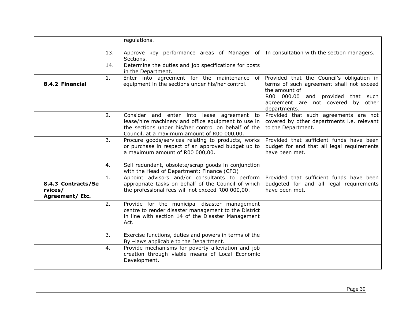<span id="page-30-1"></span><span id="page-30-0"></span>

|                                                  |     | regulations.                                                                                                                                                                                            |                                                                                                                                                                                                   |
|--------------------------------------------------|-----|---------------------------------------------------------------------------------------------------------------------------------------------------------------------------------------------------------|---------------------------------------------------------------------------------------------------------------------------------------------------------------------------------------------------|
|                                                  | 13. | Approve key performance areas of Manager of<br>Sections.                                                                                                                                                | In consultation with the section managers.                                                                                                                                                        |
|                                                  | 14. | Determine the duties and job specifications for posts<br>in the Department.                                                                                                                             |                                                                                                                                                                                                   |
| 8.4.2 Financial                                  | 1.  | Enter into agreement for the maintenance of<br>equipment in the sections under his/her control.                                                                                                         | Provided that the Council's obligation in<br>terms of such agreement shall not exceed<br>the amount of<br>R00 000.00 and provided that such<br>agreement are not covered by other<br>departments. |
|                                                  | 2.  | Consider and enter into lease agreement to<br>lease/hire machinery and office equipment to use in<br>the sections under his/her control on behalf of the<br>Council, at a maximum amount of R00 000,00. | Provided that such agreements are not<br>covered by other departments i.e. relevant<br>to the Department.                                                                                         |
|                                                  | 3.  | Procure goods/services relating to products, works<br>or purchase in respect of an approved budget up to<br>a maximum amount of R00 000,00.                                                             | Provided that sufficient funds have been<br>budget for and that all legal requirements<br>have been met.                                                                                          |
|                                                  | 4.  | Sell redundant, obsolete/scrap goods in conjunction<br>with the Head of Department: Finance (CFO)                                                                                                       |                                                                                                                                                                                                   |
| 8.4.3 Contracts/Se<br>rvices/<br>Agreement/ Etc. | 1.  | Appoint advisors and/or consultants to perform<br>appropriate tasks on behalf of the Council of which<br>the professional fees will not exceed R00 000,00.                                              | Provided that sufficient funds have been<br>budgeted for and all legal requirements<br>have been met.                                                                                             |
|                                                  | 2.  | Provide for the municipal disaster management<br>centre to render disaster management to the District<br>in line with section 14 of the Disaster Management<br>Act.                                     |                                                                                                                                                                                                   |
|                                                  | 3.  | Exercise functions, duties and powers in terms of the<br>By -laws applicable to the Department.                                                                                                         |                                                                                                                                                                                                   |
|                                                  | 4.  | Provide mechanisms for poverty alleviation and job<br>creation through viable means of Local Economic<br>Development.                                                                                   |                                                                                                                                                                                                   |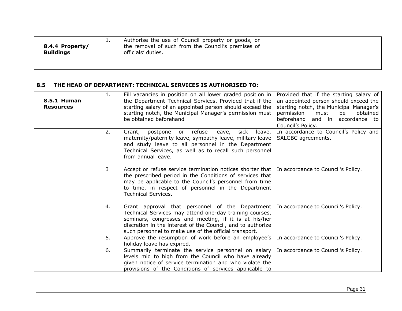| 8.4.4 Property/<br><b>Buildings</b> | <b>.</b> | Authorise the use of Council property or goods, or<br>the removal of such from the Council's premises of<br>officials' duties. |  |
|-------------------------------------|----------|--------------------------------------------------------------------------------------------------------------------------------|--|
|                                     |          |                                                                                                                                |  |

# **8.5 THE HEAD OF DEPARTMENT: TECHNICAL SERVICES IS AUTHORISED TO:**

<span id="page-31-2"></span><span id="page-31-1"></span><span id="page-31-0"></span>

| <b>8.5.1 Human</b><br><b>Resources</b> | 1. | Fill vacancies in position on all lower graded position in<br>the Department Technical Services. Provided that if the<br>starting salary of an appointed person should exceed the<br>starting notch, the Municipal Manager's permission must<br>be obtained beforehand                      | Provided that if the starting salary of<br>an appointed person should exceed the<br>starting notch, the Municipal Manager's<br>permission<br>must<br>be<br>obtained<br>and in accordance to<br>beforehand<br>Council's Policy. |
|----------------------------------------|----|---------------------------------------------------------------------------------------------------------------------------------------------------------------------------------------------------------------------------------------------------------------------------------------------|--------------------------------------------------------------------------------------------------------------------------------------------------------------------------------------------------------------------------------|
|                                        | 2. | or refuse leave,<br>sick<br>leave,<br>Grant,<br>postpone<br>maternity/paternity leave, sympathy leave, military leave<br>and study leave to all personnel in the Department<br>Technical Services, as well as to recall such personnel<br>from annual leave.                                | In accordance to Council's Policy and<br>SALGBC agreements.                                                                                                                                                                    |
|                                        | 3  | Accept or refuse service termination notices shorter that<br>the prescribed period in the Conditions of services that<br>may be applicable to the Council's personnel from time<br>to time, in respect of personnel in the Department<br><b>Technical Services.</b>                         | In accordance to Council's Policy.                                                                                                                                                                                             |
|                                        | 4. | Grant approval that personnel of the Department<br>Technical Services may attend one-day training courses,<br>seminars, congresses and meeting, if it is at his/her<br>discretion in the interest of the Council, and to authorize<br>such personnel to make use of the official transport. | In accordance to Council's Policy.                                                                                                                                                                                             |
|                                        | 5. | Approve the resumption of work before an employee's<br>holiday leave has expired.                                                                                                                                                                                                           | In accordance to Council's Policy.                                                                                                                                                                                             |
|                                        | 6. | Summarily terminate the service personnel on salary<br>levels mid to high from the Council who have already<br>given notice of service termination and who violate the<br>provisions of the Conditions of services applicable to                                                            | In accordance to Council's Policy.                                                                                                                                                                                             |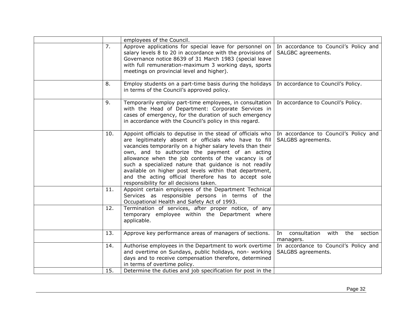|     | employees of the Council.                                                                                                                                                                                                                                                                                                                                                                                                                                                                                            |                                                             |
|-----|----------------------------------------------------------------------------------------------------------------------------------------------------------------------------------------------------------------------------------------------------------------------------------------------------------------------------------------------------------------------------------------------------------------------------------------------------------------------------------------------------------------------|-------------------------------------------------------------|
| 7.  | Approve applications for special leave for personnel on<br>salary levels 8 to 20 in accordance with the provisions of<br>Governance notice 8639 of 31 March 1983 (special leave<br>with full remuneration-maximum 3 working days, sports<br>meetings on provincial level and higher).                                                                                                                                                                                                                                | In accordance to Council's Policy and<br>SALGBC agreements. |
| 8.  | Employ students on a part-time basis during the holidays<br>in terms of the Council's approved policy.                                                                                                                                                                                                                                                                                                                                                                                                               | In accordance to Council's Policy.                          |
| 9.  | Temporarily employ part-time employees, in consultation<br>with the Head of Department: Corporate Services in<br>cases of emergency, for the duration of such emergency<br>in accordance with the Council's policy in this regard.                                                                                                                                                                                                                                                                                   | In accordance to Council's Policy.                          |
| 10. | Appoint officials to deputise in the stead of officials who<br>are legitimately absent or officials who have to fill<br>vacancies temporarily on a higher salary levels than their<br>own, and to authorize the payment of an acting<br>allowance when the job contents of the vacancy is of<br>such a specialized nature that guidance is not readily<br>available on higher post levels within that department,<br>and the acting official therefore has to accept sole<br>responsibility for all decisions taken. | In accordance to Council's Policy and<br>SALGBS agreements. |
| 11. | Appoint certain employees of the Department Technical<br>Services as responsible persons in terms of the<br>Occupational Health and Safety Act of 1993.                                                                                                                                                                                                                                                                                                                                                              |                                                             |
| 12. | Termination of services, after proper notice, of any<br>temporary employee within the Department where<br>applicable.                                                                                                                                                                                                                                                                                                                                                                                                |                                                             |
| 13. | Approve key performance areas of managers of sections.                                                                                                                                                                                                                                                                                                                                                                                                                                                               | In<br>consultation<br>with<br>the<br>section<br>managers.   |
| 14. | Authorise employees in the Department to work overtime<br>and overtime on Sundays, public holidays, non- working<br>days and to receive compensation therefore, determined<br>in terms of overtime policy.                                                                                                                                                                                                                                                                                                           | In accordance to Council's Policy and<br>SALGBS agreements. |
| 15. | Determine the duties and job specification for post in the                                                                                                                                                                                                                                                                                                                                                                                                                                                           |                                                             |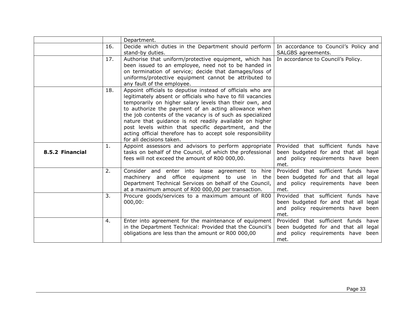<span id="page-33-0"></span>

|                 |     | Department.                                                                                                       |                                           |
|-----------------|-----|-------------------------------------------------------------------------------------------------------------------|-------------------------------------------|
|                 | 16. | Decide which duties in the Department should perform                                                              | In accordance to Council's Policy and     |
|                 |     | stand-by duties.                                                                                                  | SALGBS agreements.                        |
|                 | 17. | Authorise that uniform/protective equipment, which has                                                            | In accordance to Council's Policy.        |
|                 |     | been issued to an employee, need not to be handed in                                                              |                                           |
|                 |     | on termination of service; decide that damages/loss of                                                            |                                           |
|                 |     | uniforms/protective equipment cannot be attributed to                                                             |                                           |
|                 |     | any fault of the employee.                                                                                        |                                           |
|                 | 18. | Appoint officials to deputise instead of officials who are                                                        |                                           |
|                 |     | legitimately absent or officials who have to fill vacancies                                                       |                                           |
|                 |     | temporarily on higher salary levels than their own, and                                                           |                                           |
|                 |     | to authorize the payment of an acting allowance when<br>the job contents of the vacancy is of such as specialized |                                           |
|                 |     | nature that guidance is not readily available on higher                                                           |                                           |
|                 |     | post levels within that specific department, and the                                                              |                                           |
|                 |     | acting official therefore has to accept sole responsibility                                                       |                                           |
|                 |     | for all decisions taken.                                                                                          |                                           |
|                 | 1.  | Appoint assessors and advisors to perform appropriate                                                             | Provided that sufficient funds have       |
| 8.5.2 Financial |     | tasks on behalf of the Council, of which the professional                                                         | been budgeted for and that all legal      |
|                 |     | fees will not exceed the amount of R00 000,00.                                                                    | and policy requirements have been         |
|                 |     |                                                                                                                   | met.                                      |
|                 | 2.  | Consider and enter into lease agreement to hire                                                                   | Provided that sufficient funds have       |
|                 |     | machinery and office equipment to use in the                                                                      | been budgeted for and that all legal      |
|                 |     | Department Technical Services on behalf of the Council,                                                           | and policy requirements have been         |
|                 |     | at a maximum amount of R00 000,00 per transaction.                                                                | met.                                      |
|                 | 3.  | Procure goods/services to a maximum amount of R00                                                                 | Provided that sufficient funds have       |
|                 |     | 000,00:                                                                                                           | been budgeted for and that all legal      |
|                 |     |                                                                                                                   | and policy requirements have been<br>met. |
|                 | 4.  | Enter into agreement for the maintenance of equipment                                                             | Provided that sufficient funds have       |
|                 |     | in the Department Technical: Provided that the Council's                                                          | been budgeted for and that all legal      |
|                 |     | obligations are less than the amount or R00 000,00                                                                | and policy requirements have been         |
|                 |     |                                                                                                                   | met.                                      |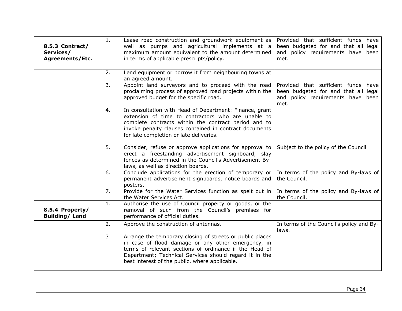<span id="page-34-1"></span><span id="page-34-0"></span>

| 8.5.3 Contract/<br>Services/<br><b>Agreements/Etc.</b> | 1. | Lease road construction and groundwork equipment as<br>well as pumps and agricultural implements at a<br>maximum amount equivalent to the amount determined<br>in terms of applicable prescripts/policy.                                                                              | Provided that sufficient funds have<br>been budgeted for and that all legal<br>and policy requirements have been<br>met. |
|--------------------------------------------------------|----|---------------------------------------------------------------------------------------------------------------------------------------------------------------------------------------------------------------------------------------------------------------------------------------|--------------------------------------------------------------------------------------------------------------------------|
|                                                        | 2. | Lend equipment or borrow it from neighbouring towns at<br>an agreed amount.                                                                                                                                                                                                           |                                                                                                                          |
|                                                        | 3. | Appoint land surveyors and to proceed with the road<br>proclaiming process of approved road projects within the<br>approved budget for the specific road.                                                                                                                             | Provided that sufficient funds have<br>been budgeted for and that all legal<br>and policy requirements have been<br>met. |
|                                                        | 4. | In consultation with Head of Department: Finance, grant<br>extension of time to contractors who are unable to<br>complete contracts within the contract period and to<br>invoke penalty clauses contained in contract documents<br>for late completion or late deliveries.            |                                                                                                                          |
|                                                        | 5. | Consider, refuse or approve applications for approval to<br>erect a freestanding advertisement signboard, slay<br>fences as determined in the Council's Advertisement By-<br>laws, as well as direction boards.                                                                       | Subject to the policy of the Council                                                                                     |
|                                                        | 6. | Conclude applications for the erection of temporary or<br>permanent advertisement signboards, notice boards and<br>posters.                                                                                                                                                           | In terms of the policy and By-laws of<br>the Council.                                                                    |
|                                                        | 7. | Provide for the Water Services function as spelt out in<br>the Water Services Act.                                                                                                                                                                                                    | In terms of the policy and By-laws of<br>the Council.                                                                    |
| 8.5.4 Property/<br><b>Building/Land</b>                | 1. | Authorise the use of Council property or goods, or the<br>removal of such from the Council's premises for<br>performance of official duties.                                                                                                                                          |                                                                                                                          |
|                                                        | 2. | Approve the construction of antennas.                                                                                                                                                                                                                                                 | In terms of the Council's policy and By-<br>laws.                                                                        |
|                                                        | 3  | Arrange the temporary closing of streets or public places<br>in case of flood damage or any other emergency, in<br>terms of relevant sections of ordinance if the Head of<br>Department; Technical Services should regard it in the<br>best interest of the public, where applicable. |                                                                                                                          |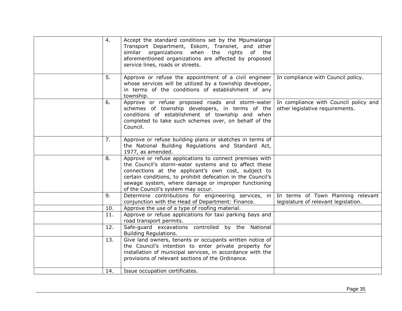| 4.  | Accept the standard conditions set by the Mpumalanga<br>Transport Department, Eskom, Transnet, and other<br>when the rights of the<br>similar organizations<br>aforementioned organizations are affected by proposed<br>service lines, roads or streets.                                                                            |                                                                          |
|-----|-------------------------------------------------------------------------------------------------------------------------------------------------------------------------------------------------------------------------------------------------------------------------------------------------------------------------------------|--------------------------------------------------------------------------|
| 5.  | Approve or refuse the appointment of a civil engineer<br>whose services will be utilized by a township developer,<br>in terms of the conditions of establishment of any<br>township.                                                                                                                                                | In compliance with Council policy.                                       |
| 6.  | Approve or refuse proposed roads and storm-water<br>schemes of township developers, in terms of the<br>conditions of establishment of township and when<br>completed to take such schemes over, on behalf of the<br>Council.                                                                                                        | In compliance with Council policy and<br>other legislative requirements. |
| 7.  | Approve or refuse building plans or sketches in terms of<br>the National Building Regulations and Standard Act,<br>1977, as amended.                                                                                                                                                                                                |                                                                          |
| 8.  | Approve or refuse applications to connect premises with<br>the Council's storm-water systems and to affect these<br>connections at the applicant's own cost, subject to<br>certain conditions, to prohibit defecation in the Council's<br>sewage system, where damage or improper functioning<br>of the Council's system may occur. |                                                                          |
| 9.  | Determine contributions for engineering services, in                                                                                                                                                                                                                                                                                | In terms of Town Planning relevant                                       |
| 10. | conjunction with the Head of Department: Finance.<br>Approve the use of a type of roofing material.                                                                                                                                                                                                                                 | legislature of relevant legislation.                                     |
| 11. | Approve or refuse applications for taxi parking bays and<br>road transport permits.                                                                                                                                                                                                                                                 |                                                                          |
| 12. | Safe-guard excavations controlled by the National<br>Building Regulations.                                                                                                                                                                                                                                                          |                                                                          |
| 13. | Give land owners, tenants or occupants written notice of<br>the Council's intention to enter private property for<br>installation of municipal services, in accordance with the<br>provisions of relevant sections of the Ordinance.                                                                                                |                                                                          |
| 14. | Issue occupation certificates.                                                                                                                                                                                                                                                                                                      |                                                                          |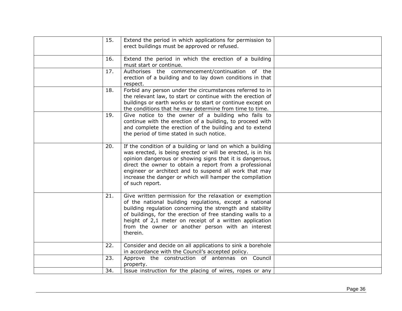| 15. | Extend the period in which applications for permission to<br>erect buildings must be approved or refused.                                                                                                                                                                                                                                                                                 |  |
|-----|-------------------------------------------------------------------------------------------------------------------------------------------------------------------------------------------------------------------------------------------------------------------------------------------------------------------------------------------------------------------------------------------|--|
| 16. | Extend the period in which the erection of a building<br>must start or continue.                                                                                                                                                                                                                                                                                                          |  |
| 17. | Authorises the commencement/continuation of the<br>erection of a building and to lay down conditions in that<br>respect.                                                                                                                                                                                                                                                                  |  |
| 18. | Forbid any person under the circumstances referred to in<br>the relevant law, to start or continue with the erection of<br>buildings or earth works or to start or continue except on<br>the conditions that he may determine from time to time.                                                                                                                                          |  |
| 19. | Give notice to the owner of a building who fails to<br>continue with the erection of a building, to proceed with<br>and complete the erection of the building and to extend<br>the period of time stated in such notice.                                                                                                                                                                  |  |
| 20. | If the condition of a building or land on which a building<br>was erected, is being erected or will be erected, is in his<br>opinion dangerous or showing signs that it is dangerous,<br>direct the owner to obtain a report from a professional<br>engineer or architect and to suspend all work that may<br>increase the danger or which will hamper the compilation<br>of such report. |  |
| 21. | Give written permission for the relaxation or exemption<br>of the national building regulations, except a national<br>building regulation concerning the strength and stability<br>of buildings, for the erection of free standing walls to a<br>height of 2,1 meter on receipt of a written application<br>from the owner or another person with an interest<br>therein.                 |  |
| 22. | Consider and decide on all applications to sink a borehole<br>in accordance with the Council's accepted policy.                                                                                                                                                                                                                                                                           |  |
| 23. | Approve the construction of antennas on Council<br>property.                                                                                                                                                                                                                                                                                                                              |  |
| 34. | Issue instruction for the placing of wires, ropes or any                                                                                                                                                                                                                                                                                                                                  |  |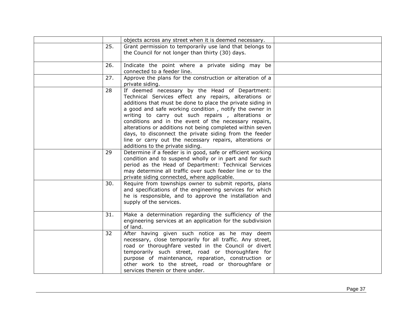|     | objects across any street when it is deemed necessary.                                                                                                                                                                                                                                                                                                                                                                                                                                                                                                              |  |
|-----|---------------------------------------------------------------------------------------------------------------------------------------------------------------------------------------------------------------------------------------------------------------------------------------------------------------------------------------------------------------------------------------------------------------------------------------------------------------------------------------------------------------------------------------------------------------------|--|
| 25. | Grant permission to temporarily use land that belongs to<br>the Council for not longer than thirty (30) days.                                                                                                                                                                                                                                                                                                                                                                                                                                                       |  |
| 26. | Indicate the point where a private siding may be<br>connected to a feeder line.                                                                                                                                                                                                                                                                                                                                                                                                                                                                                     |  |
| 27. | Approve the plans for the construction or alteration of a<br>private siding.                                                                                                                                                                                                                                                                                                                                                                                                                                                                                        |  |
| 28  | If deemed necessary by the Head of Department:<br>Technical Services effect any repairs, alterations or<br>additions that must be done to place the private siding in<br>a good and safe working condition, notify the owner in<br>writing to carry out such repairs, alterations or<br>conditions and in the event of the necessary repairs,<br>alterations or additions not being completed within seven<br>days, to disconnect the private siding from the feeder<br>line or carry out the necessary repairs, alterations or<br>additions to the private siding. |  |
| 29  | Determine if a feeder is in good, safe or efficient working<br>condition and to suspend wholly or in part and for such<br>period as the Head of Department: Technical Services<br>may determine all traffic over such feeder line or to the<br>private siding connected, where applicable.                                                                                                                                                                                                                                                                          |  |
| 30. | Require from townships owner to submit reports, plans<br>and specifications of the engineering services for which<br>he is responsible, and to approve the installation and<br>supply of the services.                                                                                                                                                                                                                                                                                                                                                              |  |
| 31. | Make a determination regarding the sufficiency of the<br>engineering services at an application for the subdivision<br>of land.                                                                                                                                                                                                                                                                                                                                                                                                                                     |  |
| 32  | After having given such notice as he may deem<br>necessary, close temporarily for all traffic. Any street,<br>road or thoroughfare vested in the Council or divert<br>temporarily such street, road or thoroughfare for<br>purpose of maintenance, reparation, construction or<br>other work to the street, road or thoroughfare or<br>services therein or there under.                                                                                                                                                                                             |  |